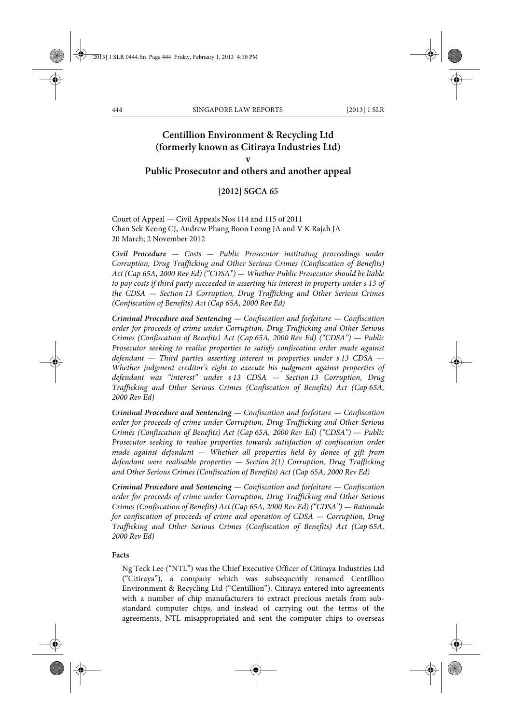# **Centillion Environment & Recycling Ltd (formerly known as Citiraya Industries Ltd) v Public Prosecutor and others and another appeal**

### **[2012] SGCA 65**

Court of Appeal — Civil Appeals Nos 114 and 115 of 2011 Chan Sek Keong CJ, Andrew Phang Boon Leong JA and V K Rajah JA 20 March; 2 November 2012

*Civil Procedure — Costs — Public Prosecutor instituting proceedings under Corruption, Drug Trafficking and Other Serious Crimes (Confiscation of Benefits) Act (Cap 65A, 2000 Rev Ed) ("CDSA") — Whether Public Prosecutor should be liable to pay costs if third party succeeded in asserting his interest in property under s 13 of the CDSA — Section 13 Corruption, Drug Trafficking and Other Serious Crimes (Confiscation of Benefits) Act (Cap 65A, 2000 Rev Ed)*

*Criminal Procedure and Sentencing — Confiscation and forfeiture — Confiscation order for proceeds of crime under Corruption, Drug Trafficking and Other Serious Crimes (Confiscation of Benefits) Act (Cap 65A, 2000 Rev Ed) ("CDSA") — Public Prosecutor seeking to realise properties to satisfy confiscation order made against defendant — Third parties asserting interest in properties under s 13 CDSA — Whether judgment creditor's right to execute his judgment against properties of defendant was "interest" under s 13 CDSA — Section 13 Corruption, Drug Trafficking and Other Serious Crimes (Confiscation of Benefits) Act (Cap 65A, 2000 Rev Ed)*

*Criminal Procedure and Sentencing — Confiscation and forfeiture — Confiscation order for proceeds of crime under Corruption, Drug Trafficking and Other Serious Crimes (Confiscation of Benefits) Act (Cap 65A, 2000 Rev Ed) ("CDSA") — Public Prosecutor seeking to realise properties towards satisfaction of confiscation order made against defendant — Whether all properties held by donee of gift from defendant were realisable properties — Section 2(1) Corruption, Drug Trafficking and Other Serious Crimes (Confiscation of Benefits) Act (Cap 65A, 2000 Rev Ed)*

*Criminal Procedure and Sentencing — Confiscation and forfeiture — Confiscation order for proceeds of crime under Corruption, Drug Trafficking and Other Serious Crimes (Confiscation of Benefits) Act (Cap 65A, 2000 Rev Ed) ("CDSA") — Rationale for confiscation of proceeds of crime and operation of CDSA — Corruption, Drug Trafficking and Other Serious Crimes (Confiscation of Benefits) Act (Cap 65A, 2000 Rev Ed)*

#### **Facts**

Ng Teck Lee ("NTL") was the Chief Executive Officer of Citiraya Industries Ltd ("Citiraya"), a company which was subsequently renamed Centillion Environment & Recycling Ltd ("Centillion"). Citiraya entered into agreements with a number of chip manufacturers to extract precious metals from substandard computer chips, and instead of carrying out the terms of the agreements, NTL misappropriated and sent the computer chips to overseas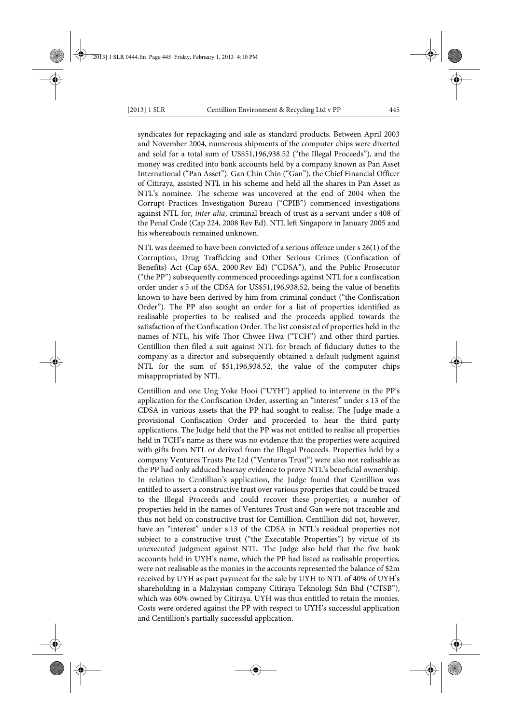syndicates for repackaging and sale as standard products. Between April 2003 and November 2004, numerous shipments of the computer chips were diverted

and sold for a total sum of US\$51,196,938.52 ("the Illegal Proceeds"), and the money was credited into bank accounts held by a company known as Pan Asset International ("Pan Asset"). Gan Chin Chin ("Gan"), the Chief Financial Officer of Citiraya, assisted NTL in his scheme and held all the shares in Pan Asset as NTL's nominee. The scheme was uncovered at the end of 2004 when the Corrupt Practices Investigation Bureau ("CPIB") commenced investigations against NTL for, *inter alia*, criminal breach of trust as a servant under s 408 of the Penal Code (Cap 224, 2008 Rev Ed). NTL left Singapore in January 2005 and his whereabouts remained unknown.

NTL was deemed to have been convicted of a serious offence under s 26(1) of the Corruption, Drug Trafficking and Other Serious Crimes (Confiscation of Benefits) Act (Cap 65A, 2000 Rev Ed) ("CDSA"), and the Public Prosecutor ("the PP") subsequently commenced proceedings against NTL for a confiscation order under s 5 of the CDSA for US\$51,196,938.52, being the value of benefits known to have been derived by him from criminal conduct ("the Confiscation Order"). The PP also sought an order for a list of properties identified as realisable properties to be realised and the proceeds applied towards the satisfaction of the Confiscation Order. The list consisted of properties held in the names of NTL, his wife Thor Chwee Hwa ("TCH") and other third parties. Centillion then filed a suit against NTL for breach of fiduciary duties to the company as a director and subsequently obtained a default judgment against NTL for the sum of \$51,196,938.52, the value of the computer chips misappropriated by NTL.

Centillion and one Ung Yoke Hooi ("UYH") applied to intervene in the PP's application for the Confiscation Order, asserting an "interest" under s 13 of the CDSA in various assets that the PP had sought to realise. The Judge made a provisional Confiscation Order and proceeded to hear the third party applications. The Judge held that the PP was not entitled to realise all properties held in TCH's name as there was no evidence that the properties were acquired with gifts from NTL or derived from the Illegal Proceeds. Properties held by a company Ventures Trusts Pte Ltd ("Ventures Trust") were also not realisable as the PP had only adduced hearsay evidence to prove NTL's beneficial ownership. In relation to Centillion's application, the Judge found that Centillion was entitled to assert a constructive trust over various properties that could be traced to the Illegal Proceeds and could recover these properties; a number of properties held in the names of Ventures Trust and Gan were not traceable and thus not held on constructive trust for Centillion. Centillion did not, however, have an "interest" under s 13 of the CDSA in NTL's residual properties not subject to a constructive trust ("the Executable Properties") by virtue of its unexecuted judgment against NTL. The Judge also held that the five bank accounts held in UYH's name, which the PP had listed as realisable properties, were not realisable as the monies in the accounts represented the balance of \$2m received by UYH as part payment for the sale by UYH to NTL of 40% of UYH's shareholding in a Malaysian company Citiraya Teknologi Sdn Bhd ("CTSB"), which was 60% owned by Citiraya. UYH was thus entitled to retain the monies. Costs were ordered against the PP with respect to UYH's successful application and Centillion's partially successful application.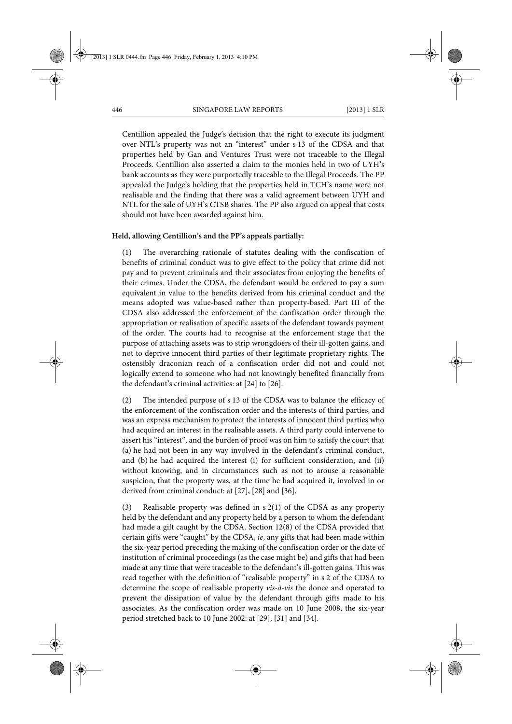Centillion appealed the Judge's decision that the right to execute its judgment over NTL's property was not an "interest" under s 13 of the CDSA and that properties held by Gan and Ventures Trust were not traceable to the Illegal Proceeds. Centillion also asserted a claim to the monies held in two of UYH's bank accounts as they were purportedly traceable to the Illegal Proceeds. The PP appealed the Judge's holding that the properties held in TCH's name were not realisable and the finding that there was a valid agreement between UYH and NTL for the sale of UYH's CTSB shares. The PP also argued on appeal that costs should not have been awarded against him.

#### **Held, allowing Centillion's and the PP's appeals partially:**

(1) The overarching rationale of statutes dealing with the confiscation of benefits of criminal conduct was to give effect to the policy that crime did not pay and to prevent criminals and their associates from enjoying the benefits of their crimes. Under the CDSA, the defendant would be ordered to pay a sum equivalent in value to the benefits derived from his criminal conduct and the means adopted was value-based rather than property-based. Part III of the CDSA also addressed the enforcement of the confiscation order through the appropriation or realisation of specific assets of the defendant towards payment of the order. The courts had to recognise at the enforcement stage that the purpose of attaching assets was to strip wrongdoers of their ill-gotten gains, and not to deprive innocent third parties of their legitimate proprietary rights. The ostensibly draconian reach of a confiscation order did not and could not logically extend to someone who had not knowingly benefited financially from the defendant's criminal activities: at [24] to [26].

(2) The intended purpose of s 13 of the CDSA was to balance the efficacy of the enforcement of the confiscation order and the interests of third parties, and was an express mechanism to protect the interests of innocent third parties who had acquired an interest in the realisable assets. A third party could intervene to assert his "interest", and the burden of proof was on him to satisfy the court that (a) he had not been in any way involved in the defendant's criminal conduct, and (b) he had acquired the interest (i) for sufficient consideration, and (ii) without knowing, and in circumstances such as not to arouse a reasonable suspicion, that the property was, at the time he had acquired it, involved in or derived from criminal conduct: at [27], [28] and [36].

(3) Realisable property was defined in s 2(1) of the CDSA as any property held by the defendant and any property held by a person to whom the defendant had made a gift caught by the CDSA. Section 12(8) of the CDSA provided that certain gifts were "caught" by the CDSA, *ie*, any gifts that had been made within the six-year period preceding the making of the confiscation order or the date of institution of criminal proceedings (as the case might be) and gifts that had been made at any time that were traceable to the defendant's ill-gotten gains. This was read together with the definition of "realisable property" in s 2 of the CDSA to determine the scope of realisable property *vis-à-vis* the donee and operated to prevent the dissipation of value by the defendant through gifts made to his associates. As the confiscation order was made on 10 June 2008, the six-year period stretched back to 10 June 2002: at [29], [31] and [34].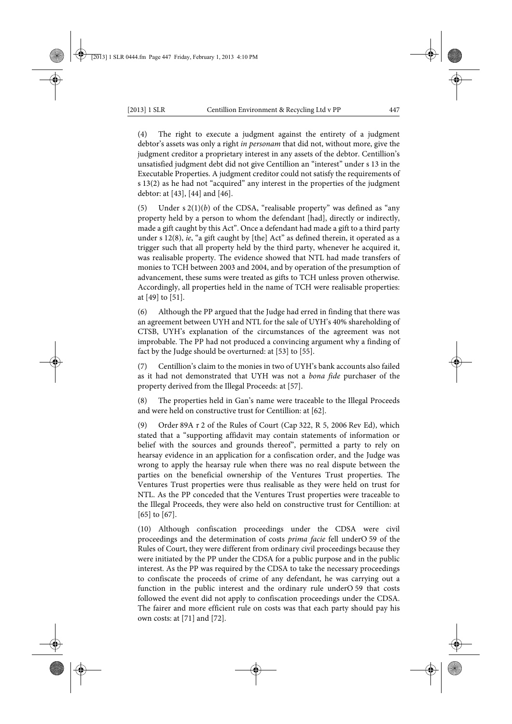(4) The right to execute a judgment against the entirety of a judgment debtor's assets was only a right *in personam* that did not, without more, give the judgment creditor a proprietary interest in any assets of the debtor. Centillion's unsatisfied judgment debt did not give Centillion an "interest" under s 13 in the Executable Properties. A judgment creditor could not satisfy the requirements of s 13(2) as he had not "acquired" any interest in the properties of the judgment debtor: at [43], [44] and [46].

(5) Under s 2(1)(*b*) of the CDSA, "realisable property" was defined as "any property held by a person to whom the defendant [had], directly or indirectly, made a gift caught by this Act". Once a defendant had made a gift to a third party under s 12(8), *ie*, "a gift caught by [the] Act" as defined therein, it operated as a trigger such that all property held by the third party, whenever he acquired it, was realisable property. The evidence showed that NTL had made transfers of monies to TCH between 2003 and 2004, and by operation of the presumption of advancement, these sums were treated as gifts to TCH unless proven otherwise. Accordingly, all properties held in the name of TCH were realisable properties: at [49] to [51].

(6) Although the PP argued that the Judge had erred in finding that there was an agreement between UYH and NTL for the sale of UYH's 40% shareholding of CTSB, UYH's explanation of the circumstances of the agreement was not improbable. The PP had not produced a convincing argument why a finding of fact by the Judge should be overturned: at [53] to [55].

(7) Centillion's claim to the monies in two of UYH's bank accounts also failed as it had not demonstrated that UYH was not a *bona fide* purchaser of the property derived from the Illegal Proceeds: at [57].

(8) The properties held in Gan's name were traceable to the Illegal Proceeds and were held on constructive trust for Centillion: at [62].

(9) Order 89A r 2 of the Rules of Court (Cap 322, R 5, 2006 Rev Ed), which stated that a "supporting affidavit may contain statements of information or belief with the sources and grounds thereof", permitted a party to rely on hearsay evidence in an application for a confiscation order, and the Judge was wrong to apply the hearsay rule when there was no real dispute between the parties on the beneficial ownership of the Ventures Trust properties. The Ventures Trust properties were thus realisable as they were held on trust for NTL. As the PP conceded that the Ventures Trust properties were traceable to the Illegal Proceeds, they were also held on constructive trust for Centillion: at [65] to [67].

(10) Although confiscation proceedings under the CDSA were civil proceedings and the determination of costs *prima facie* fell underO 59 of the Rules of Court, they were different from ordinary civil proceedings because they were initiated by the PP under the CDSA for a public purpose and in the public interest. As the PP was required by the CDSA to take the necessary proceedings to confiscate the proceeds of crime of any defendant, he was carrying out a function in the public interest and the ordinary rule underO 59 that costs followed the event did not apply to confiscation proceedings under the CDSA. The fairer and more efficient rule on costs was that each party should pay his own costs: at [71] and [72].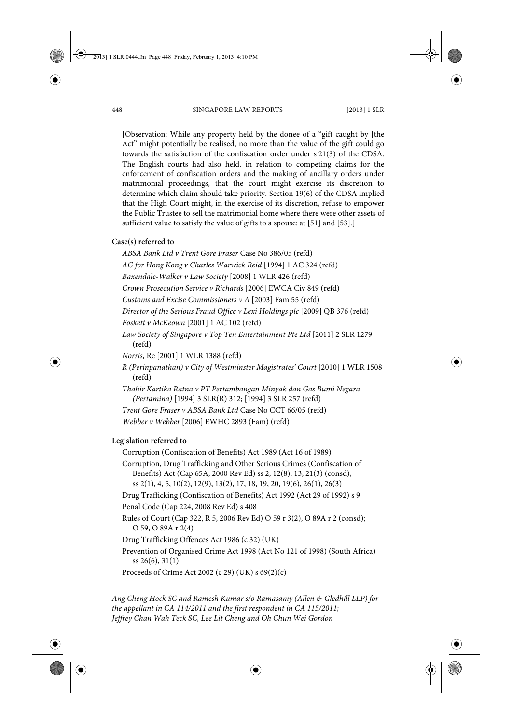[Observation: While any property held by the donee of a "gift caught by [the Act" might potentially be realised, no more than the value of the gift could go towards the satisfaction of the confiscation order under s 21(3) of the CDSA. The English courts had also held, in relation to competing claims for the enforcement of confiscation orders and the making of ancillary orders under matrimonial proceedings, that the court might exercise its discretion to determine which claim should take priority. Section 19(6) of the CDSA implied that the High Court might, in the exercise of its discretion, refuse to empower the Public Trustee to sell the matrimonial home where there were other assets of sufficient value to satisfy the value of gifts to a spouse: at [51] and [53].]

#### **Case(s) referred to**

*ABSA Bank Ltd v Trent Gore Fraser* Case No 386/05 (refd)

*AG for Hong Kong v Charles Warwick Reid* [1994] 1 AC 324 (refd)

*Baxendale-Walker v Law Society* [2008] 1 WLR 426 (refd)

*Crown Prosecution Service v Richards* [2006] EWCA Civ 849 (refd)

*Customs and Excise Commissioners v A* [2003] Fam 55 (refd)

*Director of the Serious Fraud Office v Lexi Holdings plc* [2009] QB 376 (refd)

*Foskett v McKeown* [2001] 1 AC 102 (refd)

*Law Society of Singapore v Top Ten Entertainment Pte Ltd* [2011] 2 SLR 1279 (refd)

*Norris,* Re [2001] 1 WLR 1388 (refd)

*R (Perinpanathan) v City of Westminster Magistrates' Court* [2010] 1 WLR 1508 (refd)

*Thahir Kartika Ratna v PT Pertambangan Minyak dan Gas Bumi Negara (Pertamina)* [1994] 3 SLR(R) 312; [1994] 3 SLR 257 (refd)

*Trent Gore Fraser v ABSA Bank Ltd* Case No CCT 66/05 (refd)

*Webber v Webber* [2006] EWHC 2893 (Fam) (refd)

#### **Legislation referred to**

Corruption (Confiscation of Benefits) Act 1989 (Act 16 of 1989)

Corruption, Drug Trafficking and Other Serious Crimes (Confiscation of Benefits) Act (Cap 65A, 2000 Rev Ed) ss 2, 12(8), 13, 21(3) (consd); ss 2(1), 4, 5, 10(2), 12(9), 13(2), 17, 18, 19, 20, 19(6), 26(1), 26(3)

Drug Trafficking (Confiscation of Benefits) Act 1992 (Act 29 of 1992) s 9

Penal Code (Cap 224, 2008 Rev Ed) s 408

Rules of Court (Cap 322, R 5, 2006 Rev Ed) O 59 r 3(2), O 89A r 2 (consd); O 59, O 89A r 2(4)

Drug Trafficking Offences Act 1986 (c 32) (UK)

Prevention of Organised Crime Act 1998 (Act No 121 of 1998) (South Africa) ss 26(6), 31(1)

Proceeds of Crime Act 2002 (c 29) (UK) s 69(2)(c)

*Ang Cheng Hock SC and Ramesh Kumar s/o Ramasamy (Allen & Gledhill LLP) for the appellant in CA 114/2011 and the first respondent in CA 115/2011; Jeffrey Chan Wah Teck SC, Lee Lit Cheng and Oh Chun Wei Gordon*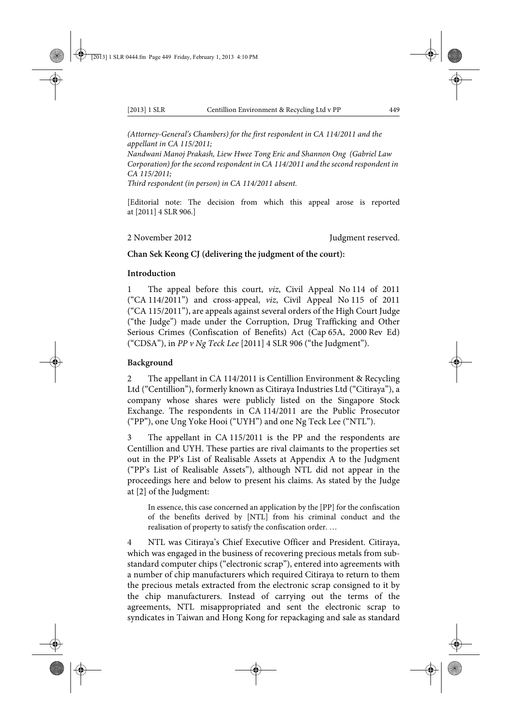*(Attorney-General's Chambers) for the first respondent in CA 114/2011 and the appellant in CA 115/2011;* 

*Nandwani Manoj Prakash, Liew Hwee Tong Eric and Shannon Ong (Gabriel Law Corporation) for the second respondent in CA 114/2011 and the second respondent in CA 115/2011;* 

*Third respondent (in person) in CA 114/2011 absent.*

[Editorial note: The decision from which this appeal arose is reported at [2011] 4 SLR 906.]

2 November 2012 **Judgment reserved.** 

### **Chan Sek Keong CJ (delivering the judgment of the court):**

#### **Introduction**

1 The appeal before this court, *viz*, Civil Appeal No 114 of 2011 ("CA 114/2011") and cross-appeal, *viz*, Civil Appeal No 115 of 2011 ("CA 115/2011"), are appeals against several orders of the High Court Judge ("the Judge") made under the Corruption, Drug Trafficking and Other Serious Crimes (Confiscation of Benefits) Act (Cap 65A, 2000 Rev Ed) ("CDSA"), in *PP v Ng Teck Lee* [2011] 4 SLR 906 ("the Judgment").

#### **Background**

2 The appellant in CA 114/2011 is Centillion Environment & Recycling Ltd ("Centillion"), formerly known as Citiraya Industries Ltd ("Citiraya"), a company whose shares were publicly listed on the Singapore Stock Exchange. The respondents in CA 114/2011 are the Public Prosecutor ("PP"), one Ung Yoke Hooi ("UYH") and one Ng Teck Lee ("NTL").

3 The appellant in CA 115/2011 is the PP and the respondents are Centillion and UYH. These parties are rival claimants to the properties set out in the PP's List of Realisable Assets at Appendix A to the Judgment ("PP's List of Realisable Assets"), although NTL did not appear in the proceedings here and below to present his claims. As stated by the Judge at [2] of the Judgment:

In essence, this case concerned an application by the [PP] for the confiscation of the benefits derived by [NTL] from his criminal conduct and the realisation of property to satisfy the confiscation order. …

4 NTL was Citiraya's Chief Executive Officer and President. Citiraya, which was engaged in the business of recovering precious metals from substandard computer chips ("electronic scrap"), entered into agreements with a number of chip manufacturers which required Citiraya to return to them the precious metals extracted from the electronic scrap consigned to it by the chip manufacturers. Instead of carrying out the terms of the agreements, NTL misappropriated and sent the electronic scrap to syndicates in Taiwan and Hong Kong for repackaging and sale as standard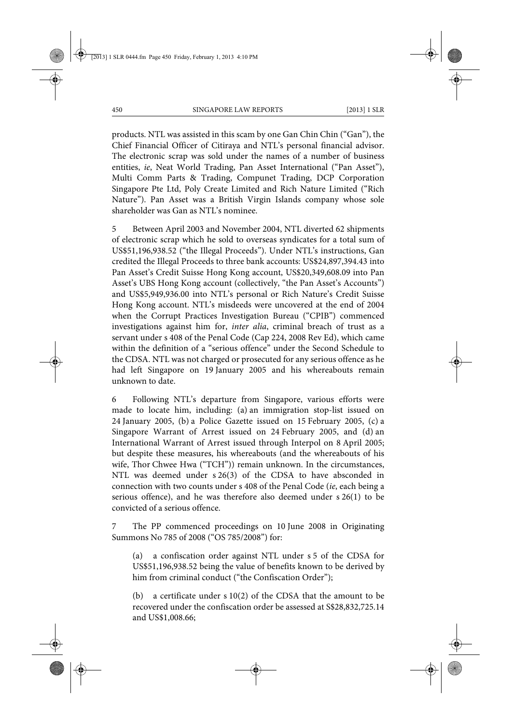products. NTL was assisted in this scam by one Gan Chin Chin ("Gan"), the Chief Financial Officer of Citiraya and NTL's personal financial advisor. The electronic scrap was sold under the names of a number of business entities, *ie*, Neat World Trading, Pan Asset International ("Pan Asset"), Multi Comm Parts & Trading, Compunet Trading, DCP Corporation Singapore Pte Ltd, Poly Create Limited and Rich Nature Limited ("Rich Nature"). Pan Asset was a British Virgin Islands company whose sole shareholder was Gan as NTL's nominee.

5 Between April 2003 and November 2004, NTL diverted 62 shipments of electronic scrap which he sold to overseas syndicates for a total sum of US\$51,196,938.52 ("the Illegal Proceeds"). Under NTL's instructions, Gan credited the Illegal Proceeds to three bank accounts: US\$24,897,394.43 into Pan Asset's Credit Suisse Hong Kong account, US\$20,349,608.09 into Pan Asset's UBS Hong Kong account (collectively, "the Pan Asset's Accounts") and US\$5,949,936.00 into NTL's personal or Rich Nature's Credit Suisse Hong Kong account. NTL's misdeeds were uncovered at the end of 2004 when the Corrupt Practices Investigation Bureau ("CPIB") commenced investigations against him for, *inter alia*, criminal breach of trust as a servant under s 408 of the Penal Code (Cap 224, 2008 Rev Ed), which came within the definition of a "serious offence" under the Second Schedule to the CDSA. NTL was not charged or prosecuted for any serious offence as he had left Singapore on 19 January 2005 and his whereabouts remain unknown to date.

6 Following NTL's departure from Singapore, various efforts were made to locate him, including: (a) an immigration stop-list issued on 24 January 2005, (b) a Police Gazette issued on 15 February 2005, (c) a Singapore Warrant of Arrest issued on 24 February 2005, and (d) an International Warrant of Arrest issued through Interpol on 8 April 2005; but despite these measures, his whereabouts (and the whereabouts of his wife, Thor Chwee Hwa ("TCH")) remain unknown. In the circumstances, NTL was deemed under s 26(3) of the CDSA to have absconded in connection with two counts under s 408 of the Penal Code (*ie*, each being a serious offence), and he was therefore also deemed under s 26(1) to be convicted of a serious offence.

7 The PP commenced proceedings on 10 June 2008 in Originating Summons No 785 of 2008 ("OS 785/2008") for:

(a) a confiscation order against NTL under s 5 of the CDSA for US\$51,196,938.52 being the value of benefits known to be derived by him from criminal conduct ("the Confiscation Order");

(b) a certificate under s 10(2) of the CDSA that the amount to be recovered under the confiscation order be assessed at S\$28,832,725.14 and US\$1,008.66;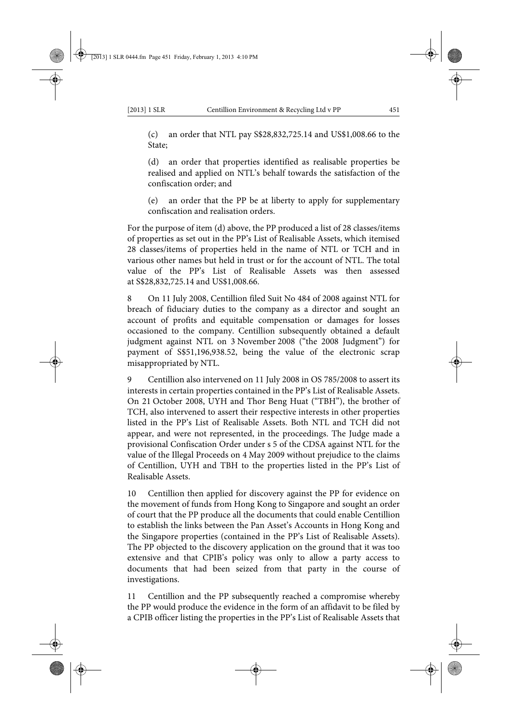(c) an order that NTL pay S\$28,832,725.14 and US\$1,008.66 to the State;

(d) an order that properties identified as realisable properties be realised and applied on NTL's behalf towards the satisfaction of the confiscation order; and

(e) an order that the PP be at liberty to apply for supplementary confiscation and realisation orders.

For the purpose of item (d) above, the PP produced a list of 28 classes/items of properties as set out in the PP's List of Realisable Assets, which itemised 28 classes/items of properties held in the name of NTL or TCH and in various other names but held in trust or for the account of NTL. The total value of the PP's List of Realisable Assets was then assessed at S\$28,832,725.14 and US\$1,008.66.

8 On 11 July 2008, Centillion filed Suit No 484 of 2008 against NTL for breach of fiduciary duties to the company as a director and sought an account of profits and equitable compensation or damages for losses occasioned to the company. Centillion subsequently obtained a default judgment against NTL on 3 November 2008 ("the 2008 Judgment") for payment of S\$51,196,938.52, being the value of the electronic scrap misappropriated by NTL.

9 Centillion also intervened on 11 July 2008 in OS 785/2008 to assert its interests in certain properties contained in the PP's List of Realisable Assets. On 21 October 2008, UYH and Thor Beng Huat ("TBH"), the brother of TCH, also intervened to assert their respective interests in other properties listed in the PP's List of Realisable Assets. Both NTL and TCH did not appear, and were not represented, in the proceedings. The Judge made a provisional Confiscation Order under s 5 of the CDSA against NTL for the value of the Illegal Proceeds on 4 May 2009 without prejudice to the claims of Centillion, UYH and TBH to the properties listed in the PP's List of Realisable Assets.

10 Centillion then applied for discovery against the PP for evidence on the movement of funds from Hong Kong to Singapore and sought an order of court that the PP produce all the documents that could enable Centillion to establish the links between the Pan Asset's Accounts in Hong Kong and the Singapore properties (contained in the PP's List of Realisable Assets). The PP objected to the discovery application on the ground that it was too extensive and that CPIB's policy was only to allow a party access to documents that had been seized from that party in the course of investigations.

11 Centillion and the PP subsequently reached a compromise whereby the PP would produce the evidence in the form of an affidavit to be filed by a CPIB officer listing the properties in the PP's List of Realisable Assets that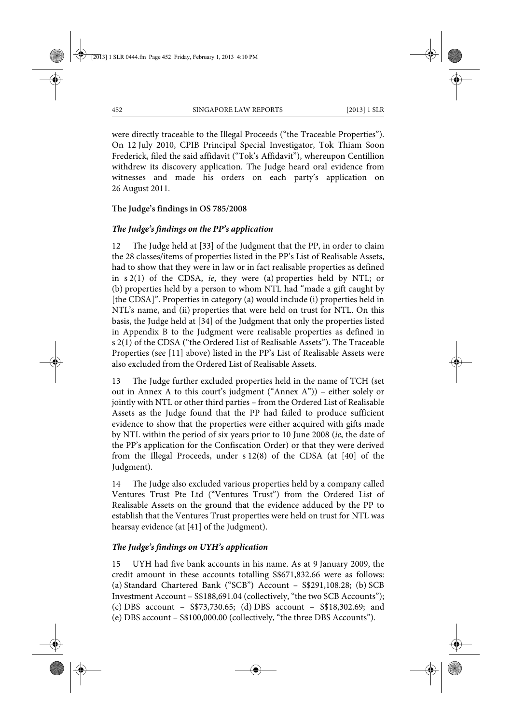were directly traceable to the Illegal Proceeds ("the Traceable Properties"). On 12 July 2010, CPIB Principal Special Investigator, Tok Thiam Soon Frederick, filed the said affidavit ("Tok's Affidavit"), whereupon Centillion withdrew its discovery application. The Judge heard oral evidence from witnesses and made his orders on each party's application on 26 August 2011.

### **The Judge's findings in OS 785/2008**

### *The Judge's findings on the PP's application*

12 The Judge held at [33] of the Judgment that the PP, in order to claim the 28 classes/items of properties listed in the PP's List of Realisable Assets, had to show that they were in law or in fact realisable properties as defined in s 2(1) of the CDSA, *ie*, they were (a) properties held by NTL; or (b) properties held by a person to whom NTL had "made a gift caught by [the CDSA]". Properties in category (a) would include (i) properties held in NTL's name, and (ii) properties that were held on trust for NTL. On this basis, the Judge held at [34] of the Judgment that only the properties listed in Appendix B to the Judgment were realisable properties as defined in s 2(1) of the CDSA ("the Ordered List of Realisable Assets"). The Traceable Properties (see [11] above) listed in the PP's List of Realisable Assets were also excluded from the Ordered List of Realisable Assets.

13 The Judge further excluded properties held in the name of TCH (set out in Annex A to this court's judgment ("Annex A")) – either solely or jointly with NTL or other third parties – from the Ordered List of Realisable Assets as the Judge found that the PP had failed to produce sufficient evidence to show that the properties were either acquired with gifts made by NTL within the period of six years prior to 10 June 2008 (*ie*, the date of the PP's application for the Confiscation Order) or that they were derived from the Illegal Proceeds, under s 12(8) of the CDSA (at [40] of the Judgment).

14 The Judge also excluded various properties held by a company called Ventures Trust Pte Ltd ("Ventures Trust") from the Ordered List of Realisable Assets on the ground that the evidence adduced by the PP to establish that the Ventures Trust properties were held on trust for NTL was hearsay evidence (at [41] of the Judgment).

# *The Judge's findings on UYH's application*

15 UYH had five bank accounts in his name. As at 9 January 2009, the credit amount in these accounts totalling S\$671,832.66 were as follows: (a) Standard Chartered Bank ("SCB") Account – S\$291,108.28; (b) SCB Investment Account – S\$188,691.04 (collectively, "the two SCB Accounts"); (c) DBS account – S\$73,730.65; (d) DBS account – S\$18,302.69; and (e) DBS account – S\$100,000.00 (collectively, "the three DBS Accounts").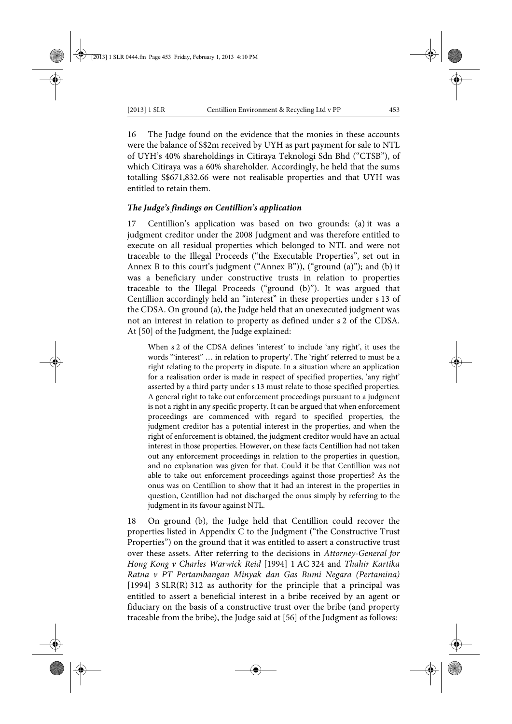16 The Judge found on the evidence that the monies in these accounts were the balance of S\$2m received by UYH as part payment for sale to NTL of UYH's 40% shareholdings in Citiraya Teknologi Sdn Bhd ("CTSB"), of which Citiraya was a 60% shareholder. Accordingly, he held that the sums totalling S\$671,832.66 were not realisable properties and that UYH was entitled to retain them.

### *The Judge's findings on Centillion's application*

17 Centillion's application was based on two grounds: (a) it was a judgment creditor under the 2008 Judgment and was therefore entitled to execute on all residual properties which belonged to NTL and were not traceable to the Illegal Proceeds ("the Executable Properties", set out in Annex B to this court's judgment ("Annex B")), ("ground (a)"); and (b) it was a beneficiary under constructive trusts in relation to properties traceable to the Illegal Proceeds ("ground (b)"). It was argued that Centillion accordingly held an "interest" in these properties under s 13 of the CDSA. On ground (a), the Judge held that an unexecuted judgment was not an interest in relation to property as defined under s 2 of the CDSA. At [50] of the Judgment, the Judge explained:

When s 2 of the CDSA defines 'interest' to include 'any right', it uses the words '"interest" … in relation to property'. The 'right' referred to must be a right relating to the property in dispute. In a situation where an application for a realisation order is made in respect of specified properties, 'any right' asserted by a third party under s 13 must relate to those specified properties. A general right to take out enforcement proceedings pursuant to a judgment is not a right in any specific property. It can be argued that when enforcement proceedings are commenced with regard to specified properties, the judgment creditor has a potential interest in the properties, and when the right of enforcement is obtained, the judgment creditor would have an actual interest in those properties. However, on these facts Centillion had not taken out any enforcement proceedings in relation to the properties in question, and no explanation was given for that. Could it be that Centillion was not able to take out enforcement proceedings against those properties? As the onus was on Centillion to show that it had an interest in the properties in question, Centillion had not discharged the onus simply by referring to the judgment in its favour against NTL.

18 On ground (b), the Judge held that Centillion could recover the properties listed in Appendix C to the Judgment ("the Constructive Trust Properties") on the ground that it was entitled to assert a constructive trust over these assets. After referring to the decisions in *Attorney-General for Hong Kong v Charles Warwick Reid* [1994] 1 AC 324 and *Thahir Kartika Ratna v PT Pertambangan Minyak dan Gas Bumi Negara (Pertamina)* [1994] 3 SLR(R) 312 as authority for the principle that a principal was entitled to assert a beneficial interest in a bribe received by an agent or fiduciary on the basis of a constructive trust over the bribe (and property traceable from the bribe), the Judge said at [56] of the Judgment as follows: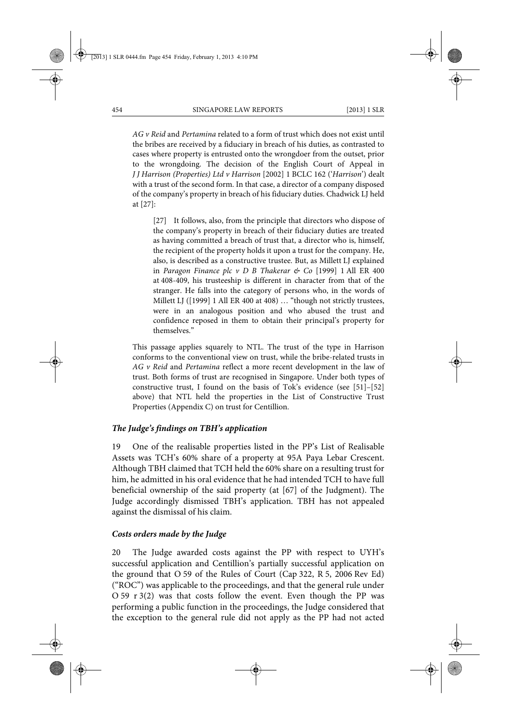*AG v Reid* and *Pertamina* related to a form of trust which does not exist until the bribes are received by a fiduciary in breach of his duties, as contrasted to cases where property is entrusted onto the wrongdoer from the outset, prior to the wrongdoing. The decision of the English Court of Appeal in *J J Harrison (Properties) Ltd v Harrison* [2002] 1 BCLC 162 ('*Harrison*') dealt with a trust of the second form. In that case, a director of a company disposed of the company's property in breach of his fiduciary duties. Chadwick LJ held at [27]:

[27] It follows, also, from the principle that directors who dispose of the company's property in breach of their fiduciary duties are treated as having committed a breach of trust that, a director who is, himself, the recipient of the property holds it upon a trust for the company. He, also, is described as a constructive trustee. But, as Millett LJ explained in *Paragon Finance plc v D B Thakerar & Co* [1999] 1 All ER 400 at 408-409, his trusteeship is different in character from that of the stranger. He falls into the category of persons who, in the words of Millett LJ ([1999] 1 All ER 400 at 408) … "though not strictly trustees, were in an analogous position and who abused the trust and confidence reposed in them to obtain their principal's property for themselves."

This passage applies squarely to NTL. The trust of the type in Harrison conforms to the conventional view on trust, while the bribe-related trusts in *AG v Reid* and *Pertamina* reflect a more recent development in the law of trust. Both forms of trust are recognised in Singapore. Under both types of constructive trust, I found on the basis of Tok's evidence (see [51]–[52] above) that NTL held the properties in the List of Constructive Trust Properties (Appendix C) on trust for Centillion.

#### *The Judge's findings on TBH's application*

19 One of the realisable properties listed in the PP's List of Realisable Assets was TCH's 60% share of a property at 95A Paya Lebar Crescent. Although TBH claimed that TCH held the 60% share on a resulting trust for him, he admitted in his oral evidence that he had intended TCH to have full beneficial ownership of the said property (at [67] of the Judgment). The Judge accordingly dismissed TBH's application. TBH has not appealed against the dismissal of his claim.

#### *Costs orders made by the Judge*

20 The Judge awarded costs against the PP with respect to UYH's successful application and Centillion's partially successful application on the ground that O 59 of the Rules of Court (Cap 322, R 5, 2006 Rev Ed) ("ROC") was applicable to the proceedings, and that the general rule under O 59 r 3(2) was that costs follow the event. Even though the PP was performing a public function in the proceedings, the Judge considered that the exception to the general rule did not apply as the PP had not acted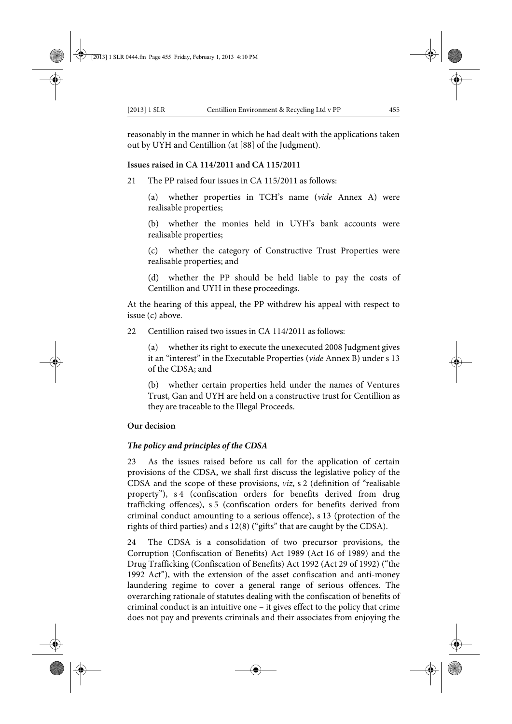reasonably in the manner in which he had dealt with the applications taken out by UYH and Centillion (at [88] of the Judgment).

### **Issues raised in CA 114/2011 and CA 115/2011**

21 The PP raised four issues in CA 115/2011 as follows:

(a) whether properties in TCH's name (*vide* Annex A) were realisable properties;

(b) whether the monies held in UYH's bank accounts were realisable properties;

(c) whether the category of Constructive Trust Properties were realisable properties; and

(d) whether the PP should be held liable to pay the costs of Centillion and UYH in these proceedings.

At the hearing of this appeal, the PP withdrew his appeal with respect to issue (c) above.

22 Centillion raised two issues in CA 114/2011 as follows:

(a) whether its right to execute the unexecuted 2008 Judgment gives it an "interest" in the Executable Properties (*vide* Annex B) under s 13 of the CDSA; and

(b) whether certain properties held under the names of Ventures Trust, Gan and UYH are held on a constructive trust for Centillion as they are traceable to the Illegal Proceeds.

#### **Our decision**

### *The policy and principles of the CDSA*

23 As the issues raised before us call for the application of certain provisions of the CDSA, we shall first discuss the legislative policy of the CDSA and the scope of these provisions, *viz*, s 2 (definition of "realisable property"), s 4 (confiscation orders for benefits derived from drug trafficking offences), s 5 (confiscation orders for benefits derived from criminal conduct amounting to a serious offence), s 13 (protection of the rights of third parties) and s 12(8) ("gifts" that are caught by the CDSA).

24 The CDSA is a consolidation of two precursor provisions, the Corruption (Confiscation of Benefits) Act 1989 (Act 16 of 1989) and the Drug Trafficking (Confiscation of Benefits) Act 1992 (Act 29 of 1992) ("the 1992 Act"), with the extension of the asset confiscation and anti-money laundering regime to cover a general range of serious offences. The overarching rationale of statutes dealing with the confiscation of benefits of criminal conduct is an intuitive one – it gives effect to the policy that crime does not pay and prevents criminals and their associates from enjoying the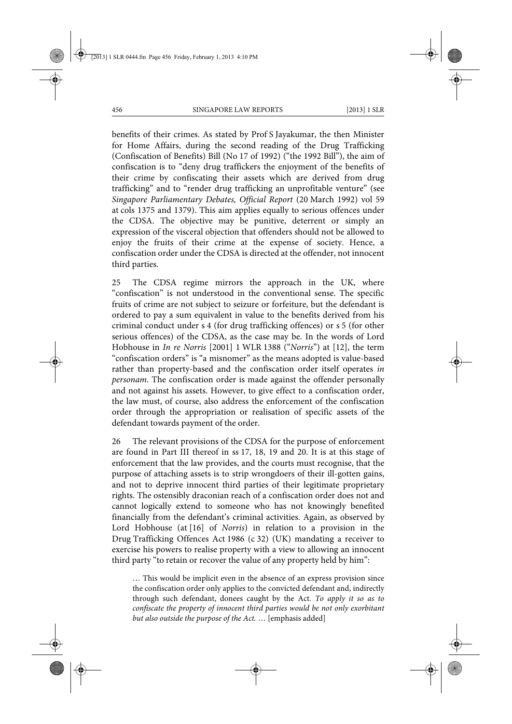benefits of their crimes. As stated by Prof S Jayakumar, the then Minister for Home Affairs, during the second reading of the Drug Trafficking (Confiscation of Benefits) Bill (No 17 of 1992) ("the 1992 Bill"), the aim of confiscation is to "deny drug traffickers the enjoyment of the benefits of their crime by confiscating their assets which are derived from drug trafficking" and to "render drug trafficking an unprofitable venture" (see *Singapore Parliamentary Debates, Official Report* (20 March 1992) vol 59 at cols 1375 and 1379). This aim applies equally to serious offences under the CDSA. The objective may be punitive, deterrent or simply an expression of the visceral objection that offenders should not be allowed to enjoy the fruits of their crime at the expense of society. Hence, a confiscation order under the CDSA is directed at the offender, not innocent third parties.

25 The CDSA regime mirrors the approach in the UK, where "confiscation" is not understood in the conventional sense. The specific fruits of crime are not subject to seizure or forfeiture, but the defendant is ordered to pay a sum equivalent in value to the benefits derived from his criminal conduct under s 4 (for drug trafficking offences) or s 5 (for other serious offences) of the CDSA, as the case may be. In the words of Lord Hobhouse in *In re Norris* [2001] 1 WLR 1388 ("*Norris*") at [12], the term "confiscation orders" is "a misnomer" as the means adopted is value-based rather than property-based and the confiscation order itself operates *in personam*. The confiscation order is made against the offender personally and not against his assets. However, to give effect to a confiscation order, the law must, of course, also address the enforcement of the confiscation order through the appropriation or realisation of specific assets of the defendant towards payment of the order.

26 The relevant provisions of the CDSA for the purpose of enforcement are found in Part III thereof in ss 17, 18, 19 and 20. It is at this stage of enforcement that the law provides, and the courts must recognise, that the purpose of attaching assets is to strip wrongdoers of their ill-gotten gains, and not to deprive innocent third parties of their legitimate proprietary rights. The ostensibly draconian reach of a confiscation order does not and cannot logically extend to someone who has not knowingly benefited financially from the defendant's criminal activities. Again, as observed by Lord Hobhouse (at [16] of *Norris*) in relation to a provision in the Drug Trafficking Offences Act 1986 (c 32) (UK) mandating a receiver to exercise his powers to realise property with a view to allowing an innocent third party "to retain or recover the value of any property held by him":

… This would be implicit even in the absence of an express provision since the confiscation order only applies to the convicted defendant and, indirectly through such defendant, donees caught by the Act. *To apply it so as to confiscate the property of innocent third parties would be not only exorbitant but also outside the purpose of the Act.* … [emphasis added]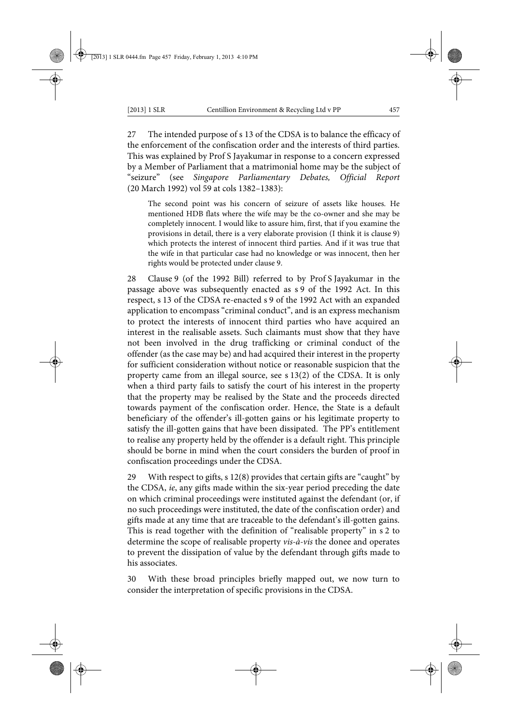27 The intended purpose of s 13 of the CDSA is to balance the efficacy of the enforcement of the confiscation order and the interests of third parties. This was explained by Prof S Jayakumar in response to a concern expressed by a Member of Parliament that a matrimonial home may be the subject of "seizure" (see *Singapore Parliamentary Debates, Official Report* (20 March 1992) vol 59 at cols 1382–1383):

The second point was his concern of seizure of assets like houses. He mentioned HDB flats where the wife may be the co-owner and she may be completely innocent. I would like to assure him, first, that if you examine the provisions in detail, there is a very elaborate provision (I think it is clause 9) which protects the interest of innocent third parties. And if it was true that the wife in that particular case had no knowledge or was innocent, then her rights would be protected under clause 9.

28 Clause 9 (of the 1992 Bill) referred to by Prof S Jayakumar in the passage above was subsequently enacted as s 9 of the 1992 Act. In this respect, s 13 of the CDSA re-enacted s 9 of the 1992 Act with an expanded application to encompass "criminal conduct", and is an express mechanism to protect the interests of innocent third parties who have acquired an interest in the realisable assets. Such claimants must show that they have not been involved in the drug trafficking or criminal conduct of the offender (as the case may be) and had acquired their interest in the property for sufficient consideration without notice or reasonable suspicion that the property came from an illegal source, see s 13(2) of the CDSA. It is only when a third party fails to satisfy the court of his interest in the property that the property may be realised by the State and the proceeds directed towards payment of the confiscation order. Hence, the State is a default beneficiary of the offender's ill-gotten gains or his legitimate property to satisfy the ill-gotten gains that have been dissipated. The PP's entitlement to realise any property held by the offender is a default right. This principle should be borne in mind when the court considers the burden of proof in confiscation proceedings under the CDSA.

29 With respect to gifts, s 12(8) provides that certain gifts are "caught" by the CDSA, *ie*, any gifts made within the six-year period preceding the date on which criminal proceedings were instituted against the defendant (or, if no such proceedings were instituted, the date of the confiscation order) and gifts made at any time that are traceable to the defendant's ill-gotten gains. This is read together with the definition of "realisable property" in s 2 to determine the scope of realisable property *vis-à-vis* the donee and operates to prevent the dissipation of value by the defendant through gifts made to his associates.

30 With these broad principles briefly mapped out, we now turn to consider the interpretation of specific provisions in the CDSA.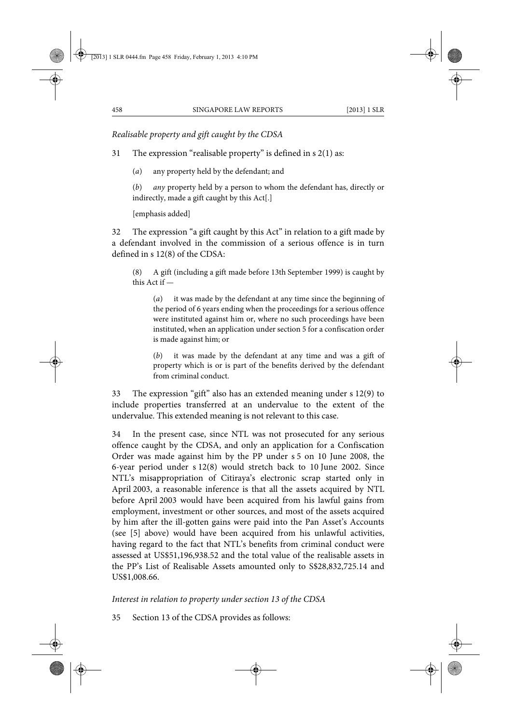*Realisable property and gift caught by the CDSA*

31 The expression "realisable property" is defined in s 2(1) as:

(*a*) any property held by the defendant; and

(*b*) *any* property held by a person to whom the defendant has, directly or indirectly, made a gift caught by this Act[.]

[emphasis added]

32 The expression "a gift caught by this Act" in relation to a gift made by a defendant involved in the commission of a serious offence is in turn defined in s 12(8) of the CDSA:

(8) A gift (including a gift made before 13th September 1999) is caught by this Act if —

(*a*) it was made by the defendant at any time since the beginning of the period of 6 years ending when the proceedings for a serious offence were instituted against him or, where no such proceedings have been instituted, when an application under section 5 for a confiscation order is made against him; or

(*b*) it was made by the defendant at any time and was a gift of property which is or is part of the benefits derived by the defendant from criminal conduct.

33 The expression "gift" also has an extended meaning under s 12(9) to include properties transferred at an undervalue to the extent of the undervalue. This extended meaning is not relevant to this case.

34 In the present case, since NTL was not prosecuted for any serious offence caught by the CDSA, and only an application for a Confiscation Order was made against him by the PP under s 5 on 10 June 2008, the 6-year period under s 12(8) would stretch back to 10 June 2002. Since NTL's misappropriation of Citiraya's electronic scrap started only in April 2003, a reasonable inference is that all the assets acquired by NTL before April 2003 would have been acquired from his lawful gains from employment, investment or other sources, and most of the assets acquired by him after the ill-gotten gains were paid into the Pan Asset's Accounts (see [5] above) would have been acquired from his unlawful activities, having regard to the fact that NTL's benefits from criminal conduct were assessed at US\$51,196,938.52 and the total value of the realisable assets in the PP's List of Realisable Assets amounted only to S\$28,832,725.14 and US\$1,008.66.

# *Interest in relation to property under section 13 of the CDSA*

35 Section 13 of the CDSA provides as follows: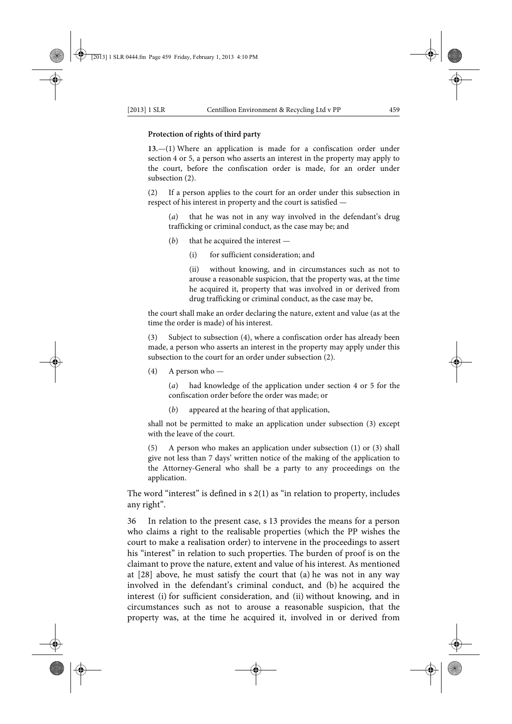#### **Protection of rights of third party**

**13.**—(1) Where an application is made for a confiscation order under section 4 or 5, a person who asserts an interest in the property may apply to the court, before the confiscation order is made, for an order under subsection (2).

(2) If a person applies to the court for an order under this subsection in respect of his interest in property and the court is satisfied —

(*a*) that he was not in any way involved in the defendant's drug trafficking or criminal conduct, as the case may be; and

- (*b*) that he acquired the interest
	- (i) for sufficient consideration; and

(ii) without knowing, and in circumstances such as not to arouse a reasonable suspicion, that the property was, at the time he acquired it, property that was involved in or derived from drug trafficking or criminal conduct, as the case may be,

the court shall make an order declaring the nature, extent and value (as at the time the order is made) of his interest.

(3) Subject to subsection (4), where a confiscation order has already been made, a person who asserts an interest in the property may apply under this subsection to the court for an order under subsection (2).

(4) A person who —

(*a*) had knowledge of the application under section 4 or 5 for the confiscation order before the order was made; or

(*b*) appeared at the hearing of that application,

shall not be permitted to make an application under subsection (3) except with the leave of the court.

(5) A person who makes an application under subsection (1) or (3) shall give not less than 7 days' written notice of the making of the application to the Attorney-General who shall be a party to any proceedings on the application.

The word "interest" is defined in  $s$  2(1) as "in relation to property, includes any right".

36 In relation to the present case, s 13 provides the means for a person who claims a right to the realisable properties (which the PP wishes the court to make a realisation order) to intervene in the proceedings to assert his "interest" in relation to such properties. The burden of proof is on the claimant to prove the nature, extent and value of his interest. As mentioned at [28] above, he must satisfy the court that (a) he was not in any way involved in the defendant's criminal conduct, and (b) he acquired the interest (i) for sufficient consideration, and (ii) without knowing, and in circumstances such as not to arouse a reasonable suspicion, that the property was, at the time he acquired it, involved in or derived from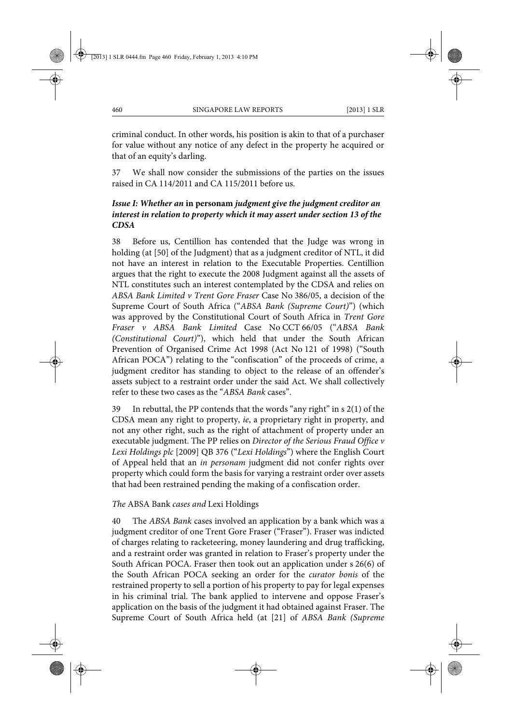criminal conduct. In other words, his position is akin to that of a purchaser for value without any notice of any defect in the property he acquired or that of an equity's darling.

37 We shall now consider the submissions of the parties on the issues raised in CA 114/2011 and CA 115/2011 before us.

# *Issue I: Whether an* **in personam** *judgment give the judgment creditor an interest in relation to property which it may assert under section 13 of the CDSA*

38 Before us, Centillion has contended that the Judge was wrong in holding (at [50] of the Judgment) that as a judgment creditor of NTL, it did not have an interest in relation to the Executable Properties. Centillion argues that the right to execute the 2008 Judgment against all the assets of NTL constitutes such an interest contemplated by the CDSA and relies on *ABSA Bank Limited v Trent Gore Fraser* Case No 386/05, a decision of the Supreme Court of South Africa ("*ABSA Bank (Supreme Court)*") (which was approved by the Constitutional Court of South Africa in *Trent Gore Fraser v ABSA Bank Limited* Case No CCT 66/05 ("*ABSA Bank (Constitutional Court)*"), which held that under the South African Prevention of Organised Crime Act 1998 (Act No 121 of 1998) ("South African POCA") relating to the "confiscation" of the proceeds of crime, a judgment creditor has standing to object to the release of an offender's assets subject to a restraint order under the said Act. We shall collectively refer to these two cases as the "*ABSA Bank* cases".

39 In rebuttal, the PP contends that the words "any right" in s 2(1) of the CDSA mean any right to property, *ie*, a proprietary right in property, and not any other right, such as the right of attachment of property under an executable judgment. The PP relies on *Director of the Serious Fraud Office v Lexi Holdings plc* [2009] QB 376 ("*Lexi Holdings*") where the English Court of Appeal held that an *in personam* judgment did not confer rights over property which could form the basis for varying a restraint order over assets that had been restrained pending the making of a confiscation order.

*The* ABSA Bank *cases and* Lexi Holdings

40 The *ABSA Bank* cases involved an application by a bank which was a judgment creditor of one Trent Gore Fraser ("Fraser"). Fraser was indicted of charges relating to racketeering, money laundering and drug trafficking, and a restraint order was granted in relation to Fraser's property under the South African POCA. Fraser then took out an application under s 26(6) of the South African POCA seeking an order for the *curator bonis* of the restrained property to sell a portion of his property to pay for legal expenses in his criminal trial. The bank applied to intervene and oppose Fraser's application on the basis of the judgment it had obtained against Fraser. The Supreme Court of South Africa held (at [21] of *ABSA Bank (Supreme*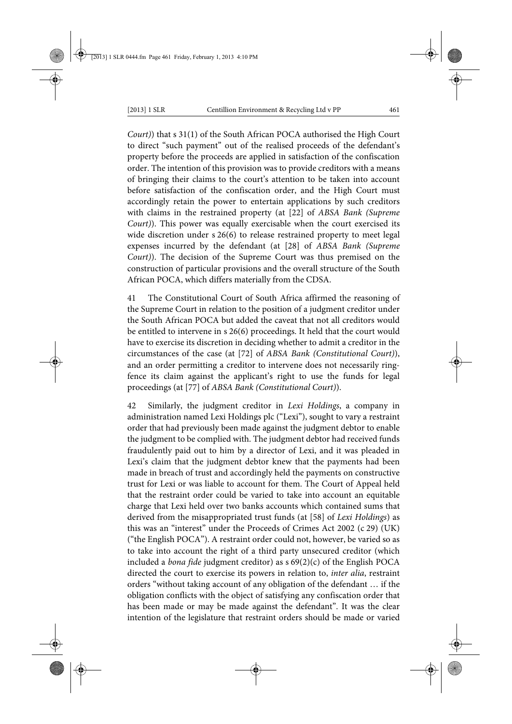*Court)*) that s 31(1) of the South African POCA authorised the High Court to direct "such payment" out of the realised proceeds of the defendant's property before the proceeds are applied in satisfaction of the confiscation order. The intention of this provision was to provide creditors with a means of bringing their claims to the court's attention to be taken into account before satisfaction of the confiscation order, and the High Court must accordingly retain the power to entertain applications by such creditors with claims in the restrained property (at [22] of *ABSA Bank (Supreme Court)*). This power was equally exercisable when the court exercised its wide discretion under s 26(6) to release restrained property to meet legal expenses incurred by the defendant (at [28] of *ABSA Bank (Supreme Court)*). The decision of the Supreme Court was thus premised on the construction of particular provisions and the overall structure of the South African POCA, which differs materially from the CDSA.

41 The Constitutional Court of South Africa affirmed the reasoning of the Supreme Court in relation to the position of a judgment creditor under the South African POCA but added the caveat that not all creditors would be entitled to intervene in s 26(6) proceedings. It held that the court would have to exercise its discretion in deciding whether to admit a creditor in the circumstances of the case (at [72] of *ABSA Bank (Constitutional Court)*), and an order permitting a creditor to intervene does not necessarily ringfence its claim against the applicant's right to use the funds for legal proceedings (at [77] of *ABSA Bank (Constitutional Court)*).

42 Similarly, the judgment creditor in *Lexi Holdings*, a company in administration named Lexi Holdings plc ("Lexi"), sought to vary a restraint order that had previously been made against the judgment debtor to enable the judgment to be complied with. The judgment debtor had received funds fraudulently paid out to him by a director of Lexi, and it was pleaded in Lexi's claim that the judgment debtor knew that the payments had been made in breach of trust and accordingly held the payments on constructive trust for Lexi or was liable to account for them. The Court of Appeal held that the restraint order could be varied to take into account an equitable charge that Lexi held over two banks accounts which contained sums that derived from the misappropriated trust funds (at [58] of *Lexi Holdings*) as this was an "interest" under the Proceeds of Crimes Act 2002 (c 29) (UK) ("the English POCA"). A restraint order could not, however, be varied so as to take into account the right of a third party unsecured creditor (which included a *bona fide* judgment creditor) as s 69(2)(c) of the English POCA directed the court to exercise its powers in relation to, *inter alia*, restraint orders "without taking account of any obligation of the defendant … if the obligation conflicts with the object of satisfying any confiscation order that has been made or may be made against the defendant". It was the clear intention of the legislature that restraint orders should be made or varied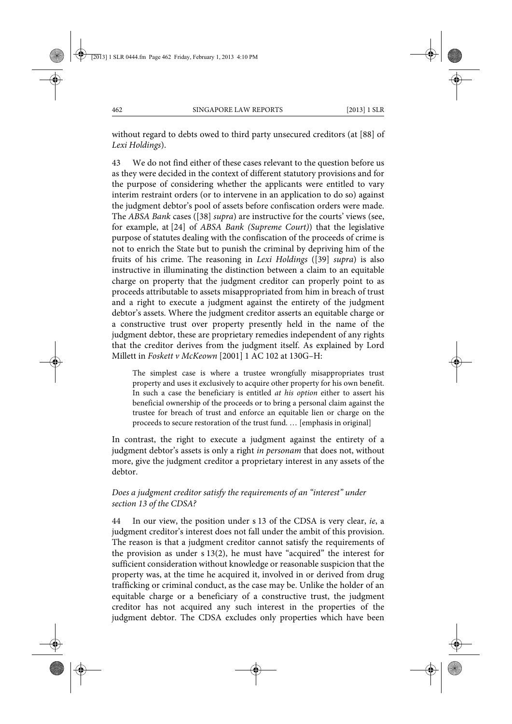without regard to debts owed to third party unsecured creditors (at [88] of *Lexi Holdings*).

43 We do not find either of these cases relevant to the question before us as they were decided in the context of different statutory provisions and for the purpose of considering whether the applicants were entitled to vary interim restraint orders (or to intervene in an application to do so) against the judgment debtor's pool of assets before confiscation orders were made. The *ABSA Bank* cases ([38] *supra*) are instructive for the courts' views (see, for example, at [24] of *ABSA Bank (Supreme Court)*) that the legislative purpose of statutes dealing with the confiscation of the proceeds of crime is not to enrich the State but to punish the criminal by depriving him of the fruits of his crime. The reasoning in *Lexi Holdings* ([39] *supra*) is also instructive in illuminating the distinction between a claim to an equitable charge on property that the judgment creditor can properly point to as proceeds attributable to assets misappropriated from him in breach of trust and a right to execute a judgment against the entirety of the judgment debtor's assets. Where the judgment creditor asserts an equitable charge or a constructive trust over property presently held in the name of the judgment debtor, these are proprietary remedies independent of any rights that the creditor derives from the judgment itself. As explained by Lord Millett in *Foskett v McKeown* [2001] 1 AC 102 at 130G–H:

The simplest case is where a trustee wrongfully misappropriates trust property and uses it exclusively to acquire other property for his own benefit. In such a case the beneficiary is entitled *at his option* either to assert his beneficial ownership of the proceeds or to bring a personal claim against the trustee for breach of trust and enforce an equitable lien or charge on the proceeds to secure restoration of the trust fund. … [emphasis in original]

In contrast, the right to execute a judgment against the entirety of a judgment debtor's assets is only a right *in personam* that does not, without more, give the judgment creditor a proprietary interest in any assets of the debtor.

# *Does a judgment creditor satisfy the requirements of an "interest" under section 13 of the CDSA?*

44 In our view, the position under s 13 of the CDSA is very clear, *ie*, a judgment creditor's interest does not fall under the ambit of this provision. The reason is that a judgment creditor cannot satisfy the requirements of the provision as under s 13(2), he must have "acquired" the interest for sufficient consideration without knowledge or reasonable suspicion that the property was, at the time he acquired it, involved in or derived from drug trafficking or criminal conduct, as the case may be. Unlike the holder of an equitable charge or a beneficiary of a constructive trust, the judgment creditor has not acquired any such interest in the properties of the judgment debtor. The CDSA excludes only properties which have been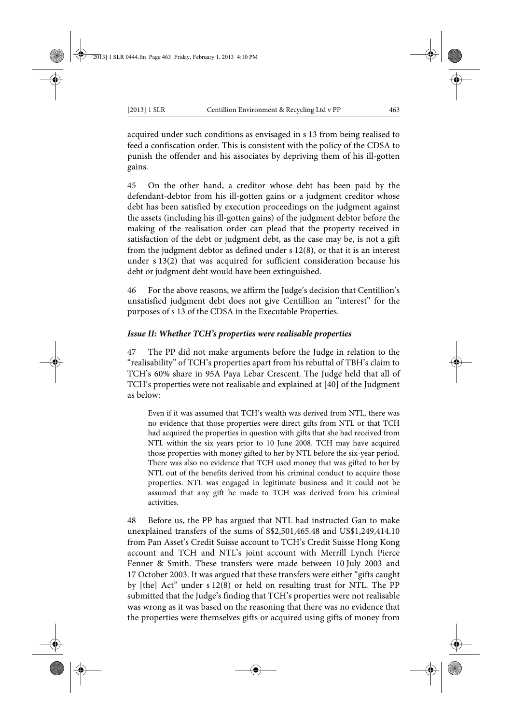acquired under such conditions as envisaged in s 13 from being realised to feed a confiscation order. This is consistent with the policy of the CDSA to punish the offender and his associates by depriving them of his ill-gotten gains.

45 On the other hand, a creditor whose debt has been paid by the defendant-debtor from his ill-gotten gains or a judgment creditor whose debt has been satisfied by execution proceedings on the judgment against the assets (including his ill-gotten gains) of the judgment debtor before the making of the realisation order can plead that the property received in satisfaction of the debt or judgment debt, as the case may be, is not a gift from the judgment debtor as defined under s 12(8), or that it is an interest under s 13(2) that was acquired for sufficient consideration because his debt or judgment debt would have been extinguished.

46 For the above reasons, we affirm the Judge's decision that Centillion's unsatisfied judgment debt does not give Centillion an "interest" for the purposes of s 13 of the CDSA in the Executable Properties.

### *Issue II: Whether TCH's properties were realisable properties*

47 The PP did not make arguments before the Judge in relation to the "realisability" of TCH's properties apart from his rebuttal of TBH's claim to TCH's 60% share in 95A Paya Lebar Crescent. The Judge held that all of TCH's properties were not realisable and explained at [40] of the Judgment as below:

Even if it was assumed that TCH's wealth was derived from NTL, there was no evidence that those properties were direct gifts from NTL or that TCH had acquired the properties in question with gifts that she had received from NTL within the six years prior to 10 June 2008. TCH may have acquired those properties with money gifted to her by NTL before the six-year period. There was also no evidence that TCH used money that was gifted to her by NTL out of the benefits derived from his criminal conduct to acquire those properties. NTL was engaged in legitimate business and it could not be assumed that any gift he made to TCH was derived from his criminal activities.

48 Before us, the PP has argued that NTL had instructed Gan to make unexplained transfers of the sums of S\$2,501,465.48 and US\$1,249,414.10 from Pan Asset's Credit Suisse account to TCH's Credit Suisse Hong Kong account and TCH and NTL's joint account with Merrill Lynch Pierce Fenner & Smith. These transfers were made between 10 July 2003 and 17 October 2003. It was argued that these transfers were either "gifts caught by [the] Act" under s 12(8) or held on resulting trust for NTL. The PP submitted that the Judge's finding that TCH's properties were not realisable was wrong as it was based on the reasoning that there was no evidence that the properties were themselves gifts or acquired using gifts of money from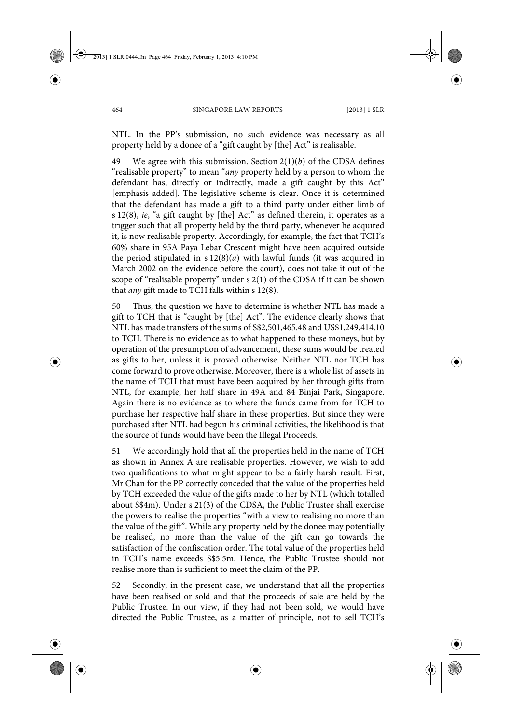NTL. In the PP's submission, no such evidence was necessary as all property held by a donee of a "gift caught by [the] Act" is realisable.

49 We agree with this submission. Section 2(1)(*b*) of the CDSA defines "realisable property" to mean "*any* property held by a person to whom the defendant has, directly or indirectly, made a gift caught by this Act" [emphasis added]. The legislative scheme is clear. Once it is determined that the defendant has made a gift to a third party under either limb of s 12(8), *ie*, "a gift caught by [the] Act" as defined therein, it operates as a trigger such that all property held by the third party, whenever he acquired it, is now realisable property. Accordingly, for example, the fact that TCH's 60% share in 95A Paya Lebar Crescent might have been acquired outside the period stipulated in s 12(8)(*a*) with lawful funds (it was acquired in March 2002 on the evidence before the court), does not take it out of the scope of "realisable property" under s 2(1) of the CDSA if it can be shown that *any* gift made to TCH falls within s 12(8).

50 Thus, the question we have to determine is whether NTL has made a gift to TCH that is "caught by [the] Act". The evidence clearly shows that NTL has made transfers of the sums of S\$2,501,465.48 and US\$1,249,414.10 to TCH. There is no evidence as to what happened to these moneys, but by operation of the presumption of advancement, these sums would be treated as gifts to her, unless it is proved otherwise. Neither NTL nor TCH has come forward to prove otherwise. Moreover, there is a whole list of assets in the name of TCH that must have been acquired by her through gifts from NTL, for example, her half share in 49A and 84 Binjai Park, Singapore. Again there is no evidence as to where the funds came from for TCH to purchase her respective half share in these properties. But since they were purchased after NTL had begun his criminal activities, the likelihood is that the source of funds would have been the Illegal Proceeds.

51 We accordingly hold that all the properties held in the name of TCH as shown in Annex A are realisable properties. However, we wish to add two qualifications to what might appear to be a fairly harsh result. First, Mr Chan for the PP correctly conceded that the value of the properties held by TCH exceeded the value of the gifts made to her by NTL (which totalled about S\$4m). Under s 21(3) of the CDSA, the Public Trustee shall exercise the powers to realise the properties "with a view to realising no more than the value of the gift". While any property held by the donee may potentially be realised, no more than the value of the gift can go towards the satisfaction of the confiscation order. The total value of the properties held in TCH's name exceeds S\$5.5m. Hence, the Public Trustee should not realise more than is sufficient to meet the claim of the PP.

52 Secondly, in the present case, we understand that all the properties have been realised or sold and that the proceeds of sale are held by the Public Trustee. In our view, if they had not been sold, we would have directed the Public Trustee, as a matter of principle, not to sell TCH's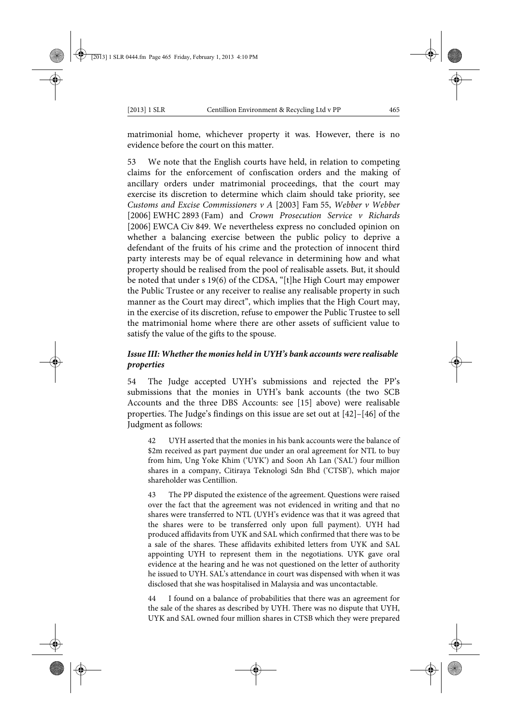matrimonial home, whichever property it was. However, there is no evidence before the court on this matter.

53 We note that the English courts have held, in relation to competing claims for the enforcement of confiscation orders and the making of ancillary orders under matrimonial proceedings, that the court may exercise its discretion to determine which claim should take priority, see *Customs and Excise Commissioners v A* [2003] Fam 55, *Webber v Webber* [2006] EWHC 2893 (Fam) and *Crown Prosecution Service v Richards* [2006] EWCA Civ 849. We nevertheless express no concluded opinion on whether a balancing exercise between the public policy to deprive a defendant of the fruits of his crime and the protection of innocent third party interests may be of equal relevance in determining how and what property should be realised from the pool of realisable assets. But, it should be noted that under s 19(6) of the CDSA, "[t]he High Court may empower the Public Trustee or any receiver to realise any realisable property in such manner as the Court may direct", which implies that the High Court may, in the exercise of its discretion, refuse to empower the Public Trustee to sell the matrimonial home where there are other assets of sufficient value to satisfy the value of the gifts to the spouse.

### *Issue III: Whether the monies held in UYH's bank accounts were realisable properties*

54 The Judge accepted UYH's submissions and rejected the PP's submissions that the monies in UYH's bank accounts (the two SCB Accounts and the three DBS Accounts: see [15] above) were realisable properties. The Judge's findings on this issue are set out at [42]–[46] of the Judgment as follows:

42 UYH asserted that the monies in his bank accounts were the balance of \$2m received as part payment due under an oral agreement for NTL to buy from him, Ung Yoke Khim ('UYK') and Soon Ah Lan ('SAL') four million shares in a company, Citiraya Teknologi Sdn Bhd ('CTSB'), which major shareholder was Centillion.

43 The PP disputed the existence of the agreement. Questions were raised over the fact that the agreement was not evidenced in writing and that no shares were transferred to NTL (UYH's evidence was that it was agreed that the shares were to be transferred only upon full payment). UYH had produced affidavits from UYK and SAL which confirmed that there was to be a sale of the shares. These affidavits exhibited letters from UYK and SAL appointing UYH to represent them in the negotiations. UYK gave oral evidence at the hearing and he was not questioned on the letter of authority he issued to UYH. SAL's attendance in court was dispensed with when it was disclosed that she was hospitalised in Malaysia and was uncontactable.

44 I found on a balance of probabilities that there was an agreement for the sale of the shares as described by UYH. There was no dispute that UYH, UYK and SAL owned four million shares in CTSB which they were prepared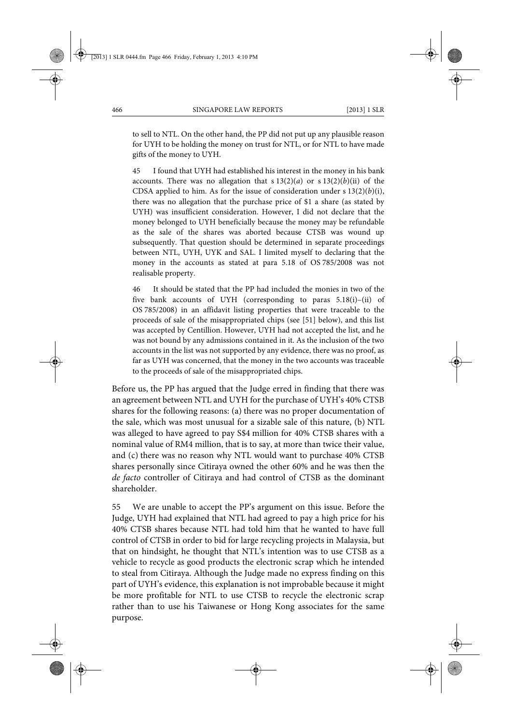to sell to NTL. On the other hand, the PP did not put up any plausible reason for UYH to be holding the money on trust for NTL, or for NTL to have made gifts of the money to UYH.

45 I found that UYH had established his interest in the money in his bank accounts. There was no allegation that  $s 13(2)(a)$  or  $s 13(2)(b)(ii)$  of the CDSA applied to him. As for the issue of consideration under s 13(2)(*b*)(i), there was no allegation that the purchase price of \$1 a share (as stated by UYH) was insufficient consideration. However, I did not declare that the money belonged to UYH beneficially because the money may be refundable as the sale of the shares was aborted because CTSB was wound up subsequently. That question should be determined in separate proceedings between NTL, UYH, UYK and SAL. I limited myself to declaring that the money in the accounts as stated at para 5.18 of OS 785/2008 was not realisable property.

46 It should be stated that the PP had included the monies in two of the five bank accounts of UYH (corresponding to paras 5.18(i)–(ii) of OS 785/2008) in an affidavit listing properties that were traceable to the proceeds of sale of the misappropriated chips (see [51] below), and this list was accepted by Centillion. However, UYH had not accepted the list, and he was not bound by any admissions contained in it. As the inclusion of the two accounts in the list was not supported by any evidence, there was no proof, as far as UYH was concerned, that the money in the two accounts was traceable to the proceeds of sale of the misappropriated chips.

Before us, the PP has argued that the Judge erred in finding that there was an agreement between NTL and UYH for the purchase of UYH's 40% CTSB shares for the following reasons: (a) there was no proper documentation of the sale, which was most unusual for a sizable sale of this nature, (b) NTL was alleged to have agreed to pay S\$4 million for 40% CTSB shares with a nominal value of RM4 million, that is to say, at more than twice their value, and (c) there was no reason why NTL would want to purchase 40% CTSB shares personally since Citiraya owned the other 60% and he was then the *de facto* controller of Citiraya and had control of CTSB as the dominant shareholder.

55 We are unable to accept the PP's argument on this issue. Before the Judge, UYH had explained that NTL had agreed to pay a high price for his 40% CTSB shares because NTL had told him that he wanted to have full control of CTSB in order to bid for large recycling projects in Malaysia, but that on hindsight, he thought that NTL's intention was to use CTSB as a vehicle to recycle as good products the electronic scrap which he intended to steal from Citiraya. Although the Judge made no express finding on this part of UYH's evidence, this explanation is not improbable because it might be more profitable for NTL to use CTSB to recycle the electronic scrap rather than to use his Taiwanese or Hong Kong associates for the same purpose.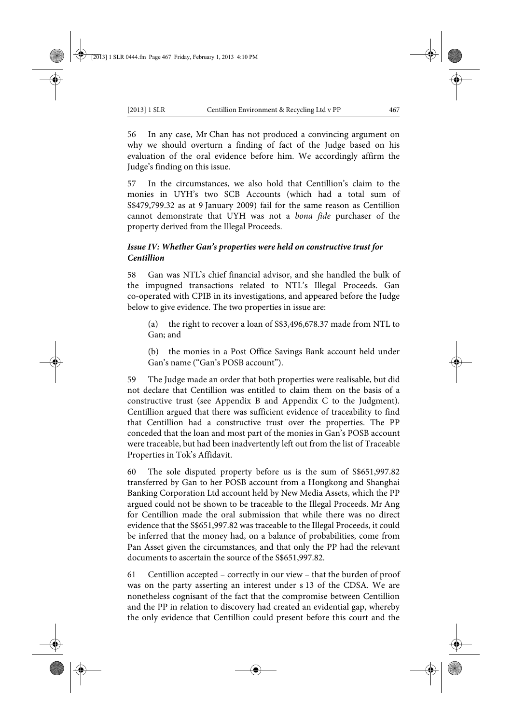56 In any case, Mr Chan has not produced a convincing argument on why we should overturn a finding of fact of the Judge based on his evaluation of the oral evidence before him. We accordingly affirm the Judge's finding on this issue.

57 In the circumstances, we also hold that Centillion's claim to the monies in UYH's two SCB Accounts (which had a total sum of S\$479,799.32 as at 9 January 2009) fail for the same reason as Centillion cannot demonstrate that UYH was not a *bona fide* purchaser of the property derived from the Illegal Proceeds.

# *Issue IV: Whether Gan's properties were held on constructive trust for Centillion*

58 Gan was NTL's chief financial advisor, and she handled the bulk of the impugned transactions related to NTL's Illegal Proceeds. Gan co-operated with CPIB in its investigations, and appeared before the Judge below to give evidence. The two properties in issue are:

(a) the right to recover a loan of S\$3,496,678.37 made from NTL to Gan; and

(b) the monies in a Post Office Savings Bank account held under Gan's name ("Gan's POSB account").

59 The Judge made an order that both properties were realisable, but did not declare that Centillion was entitled to claim them on the basis of a constructive trust (see Appendix B and Appendix C to the Judgment). Centillion argued that there was sufficient evidence of traceability to find that Centillion had a constructive trust over the properties. The PP conceded that the loan and most part of the monies in Gan's POSB account were traceable, but had been inadvertently left out from the list of Traceable Properties in Tok's Affidavit.

60 The sole disputed property before us is the sum of S\$651,997.82 transferred by Gan to her POSB account from a Hongkong and Shanghai Banking Corporation Ltd account held by New Media Assets, which the PP argued could not be shown to be traceable to the Illegal Proceeds. Mr Ang for Centillion made the oral submission that while there was no direct evidence that the S\$651,997.82 was traceable to the Illegal Proceeds, it could be inferred that the money had, on a balance of probabilities, come from Pan Asset given the circumstances, and that only the PP had the relevant documents to ascertain the source of the S\$651,997.82.

61 Centillion accepted – correctly in our view – that the burden of proof was on the party asserting an interest under s 13 of the CDSA. We are nonetheless cognisant of the fact that the compromise between Centillion and the PP in relation to discovery had created an evidential gap, whereby the only evidence that Centillion could present before this court and the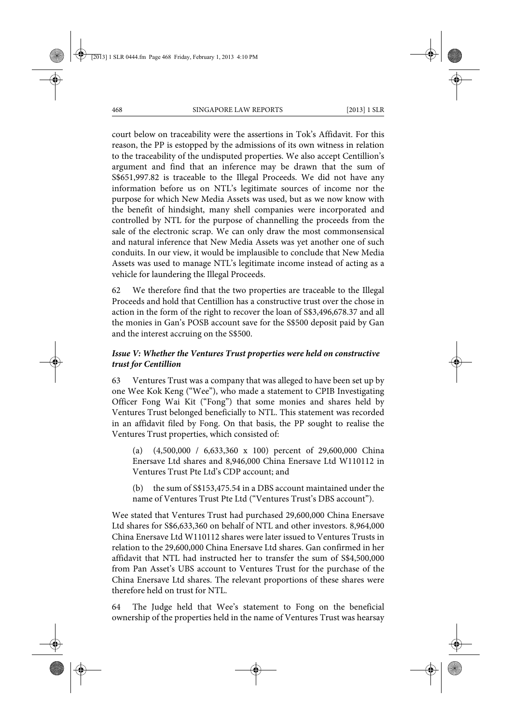court below on traceability were the assertions in Tok's Affidavit. For this reason, the PP is estopped by the admissions of its own witness in relation to the traceability of the undisputed properties. We also accept Centillion's argument and find that an inference may be drawn that the sum of S\$651,997.82 is traceable to the Illegal Proceeds. We did not have any information before us on NTL's legitimate sources of income nor the purpose for which New Media Assets was used, but as we now know with the benefit of hindsight, many shell companies were incorporated and controlled by NTL for the purpose of channelling the proceeds from the sale of the electronic scrap. We can only draw the most commonsensical and natural inference that New Media Assets was yet another one of such conduits. In our view, it would be implausible to conclude that New Media Assets was used to manage NTL's legitimate income instead of acting as a vehicle for laundering the Illegal Proceeds.

62 We therefore find that the two properties are traceable to the Illegal Proceeds and hold that Centillion has a constructive trust over the chose in action in the form of the right to recover the loan of S\$3,496,678.37 and all the monies in Gan's POSB account save for the S\$500 deposit paid by Gan and the interest accruing on the S\$500.

### *Issue V: Whether the Ventures Trust properties were held on constructive trust for Centillion*

63 Ventures Trust was a company that was alleged to have been set up by one Wee Kok Keng ("Wee"), who made a statement to CPIB Investigating Officer Fong Wai Kit ("Fong") that some monies and shares held by Ventures Trust belonged beneficially to NTL. This statement was recorded in an affidavit filed by Fong. On that basis, the PP sought to realise the Ventures Trust properties, which consisted of:

(a) (4,500,000 / 6,633,360 x 100) percent of 29,600,000 China Enersave Ltd shares and 8,946,000 China Enersave Ltd W110112 in Ventures Trust Pte Ltd's CDP account; and

(b) the sum of S\$153,475.54 in a DBS account maintained under the name of Ventures Trust Pte Ltd ("Ventures Trust's DBS account").

Wee stated that Ventures Trust had purchased 29,600,000 China Enersave Ltd shares for S\$6,633,360 on behalf of NTL and other investors. 8,964,000 China Enersave Ltd W110112 shares were later issued to Ventures Trusts in relation to the 29,600,000 China Enersave Ltd shares. Gan confirmed in her affidavit that NTL had instructed her to transfer the sum of S\$4,500,000 from Pan Asset's UBS account to Ventures Trust for the purchase of the China Enersave Ltd shares. The relevant proportions of these shares were therefore held on trust for NTL.

64 The Judge held that Wee's statement to Fong on the beneficial ownership of the properties held in the name of Ventures Trust was hearsay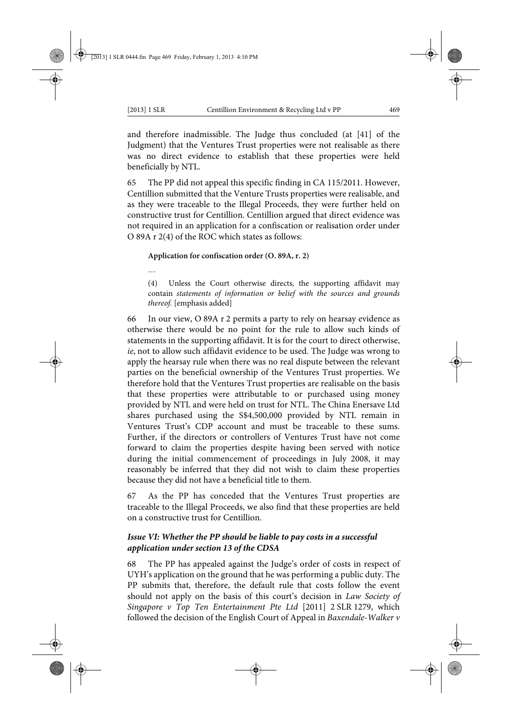…

and therefore inadmissible. The Judge thus concluded (at [41] of the Judgment) that the Ventures Trust properties were not realisable as there was no direct evidence to establish that these properties were held beneficially by NTL.

65 The PP did not appeal this specific finding in CA 115/2011. However, Centillion submitted that the Venture Trusts properties were realisable, and as they were traceable to the Illegal Proceeds, they were further held on constructive trust for Centillion. Centillion argued that direct evidence was not required in an application for a confiscation or realisation order under O 89A r 2(4) of the ROC which states as follows:

**Application for confiscation order (O. 89A, r. 2)**

(4) Unless the Court otherwise directs, the supporting affidavit may contain *statements of information or belief with the sources and grounds thereof.* [emphasis added]

66 In our view, O 89A r 2 permits a party to rely on hearsay evidence as otherwise there would be no point for the rule to allow such kinds of statements in the supporting affidavit. It is for the court to direct otherwise, *ie*, not to allow such affidavit evidence to be used. The Judge was wrong to apply the hearsay rule when there was no real dispute between the relevant parties on the beneficial ownership of the Ventures Trust properties. We therefore hold that the Ventures Trust properties are realisable on the basis that these properties were attributable to or purchased using money provided by NTL and were held on trust for NTL. The China Enersave Ltd shares purchased using the S\$4,500,000 provided by NTL remain in Ventures Trust's CDP account and must be traceable to these sums. Further, if the directors or controllers of Ventures Trust have not come forward to claim the properties despite having been served with notice during the initial commencement of proceedings in July 2008, it may reasonably be inferred that they did not wish to claim these properties because they did not have a beneficial title to them.

67 As the PP has conceded that the Ventures Trust properties are traceable to the Illegal Proceeds, we also find that these properties are held on a constructive trust for Centillion.

# *Issue VI: Whether the PP should be liable to pay costs in a successful application under section 13 of the CDSA*

68 The PP has appealed against the Judge's order of costs in respect of UYH's application on the ground that he was performing a public duty. The PP submits that, therefore, the default rule that costs follow the event should not apply on the basis of this court's decision in *Law Society of Singapore v Top Ten Entertainment Pte Ltd* [2011] 2 SLR 1279, which followed the decision of the English Court of Appeal in *Baxendale-Walker v*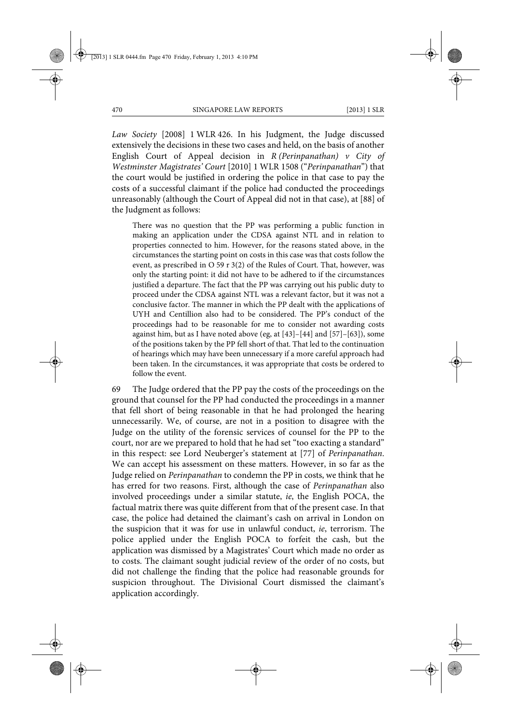*Law Society* [2008] 1 WLR 426. In his Judgment, the Judge discussed extensively the decisions in these two cases and held, on the basis of another English Court of Appeal decision in *R (Perinpanathan) v City of Westminster Magistrates' Court* [2010] 1 WLR 1508 ("*Perinpanathan*") that the court would be justified in ordering the police in that case to pay the costs of a successful claimant if the police had conducted the proceedings unreasonably (although the Court of Appeal did not in that case), at [88] of the Judgment as follows:

There was no question that the PP was performing a public function in making an application under the CDSA against NTL and in relation to properties connected to him. However, for the reasons stated above, in the circumstances the starting point on costs in this case was that costs follow the event, as prescribed in O 59 r 3(2) of the Rules of Court. That, however, was only the starting point: it did not have to be adhered to if the circumstances justified a departure. The fact that the PP was carrying out his public duty to proceed under the CDSA against NTL was a relevant factor, but it was not a conclusive factor. The manner in which the PP dealt with the applications of UYH and Centillion also had to be considered. The PP's conduct of the proceedings had to be reasonable for me to consider not awarding costs against him, but as I have noted above (eg, at [43]–[44] and [57]–[63]), some of the positions taken by the PP fell short of that. That led to the continuation of hearings which may have been unnecessary if a more careful approach had been taken. In the circumstances, it was appropriate that costs be ordered to follow the event.

69 The Judge ordered that the PP pay the costs of the proceedings on the ground that counsel for the PP had conducted the proceedings in a manner that fell short of being reasonable in that he had prolonged the hearing unnecessarily. We, of course, are not in a position to disagree with the Judge on the utility of the forensic services of counsel for the PP to the court, nor are we prepared to hold that he had set "too exacting a standard" in this respect: see Lord Neuberger's statement at [77] of *Perinpanathan*. We can accept his assessment on these matters. However, in so far as the Judge relied on *Perinpanathan* to condemn the PP in costs, we think that he has erred for two reasons. First, although the case of *Perinpanathan* also involved proceedings under a similar statute, *ie*, the English POCA, the factual matrix there was quite different from that of the present case. In that case, the police had detained the claimant's cash on arrival in London on the suspicion that it was for use in unlawful conduct, *ie*, terrorism. The police applied under the English POCA to forfeit the cash, but the application was dismissed by a Magistrates' Court which made no order as to costs. The claimant sought judicial review of the order of no costs, but did not challenge the finding that the police had reasonable grounds for suspicion throughout. The Divisional Court dismissed the claimant's application accordingly.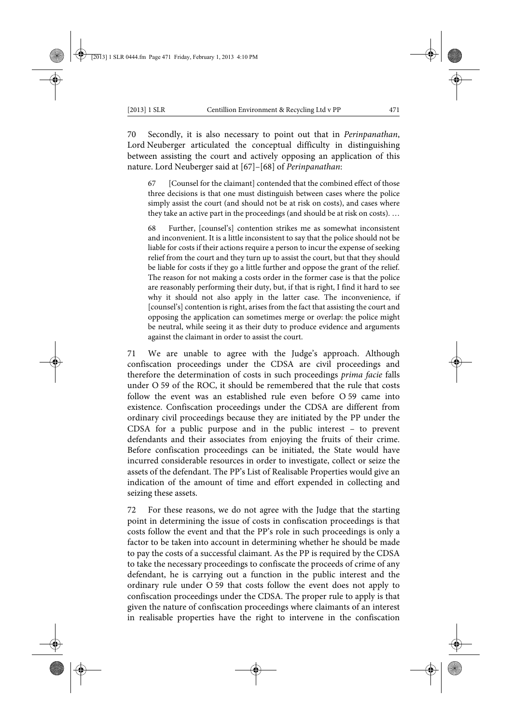70 Secondly, it is also necessary to point out that in *Perinpanathan*, Lord Neuberger articulated the conceptual difficulty in distinguishing between assisting the court and actively opposing an application of this nature. Lord Neuberger said at [67]–[68] of *Perinpanathan*:

67 [Counsel for the claimant] contended that the combined effect of those three decisions is that one must distinguish between cases where the police simply assist the court (and should not be at risk on costs), and cases where they take an active part in the proceedings (and should be at risk on costs). …

68 Further, [counsel's] contention strikes me as somewhat inconsistent and inconvenient. It is a little inconsistent to say that the police should not be liable for costs if their actions require a person to incur the expense of seeking relief from the court and they turn up to assist the court, but that they should be liable for costs if they go a little further and oppose the grant of the relief. The reason for not making a costs order in the former case is that the police are reasonably performing their duty, but, if that is right, I find it hard to see why it should not also apply in the latter case. The inconvenience, if [counsel's] contention is right, arises from the fact that assisting the court and opposing the application can sometimes merge or overlap: the police might be neutral, while seeing it as their duty to produce evidence and arguments against the claimant in order to assist the court.

71 We are unable to agree with the Judge's approach. Although confiscation proceedings under the CDSA are civil proceedings and therefore the determination of costs in such proceedings *prima facie* falls under O 59 of the ROC, it should be remembered that the rule that costs follow the event was an established rule even before O 59 came into existence. Confiscation proceedings under the CDSA are different from ordinary civil proceedings because they are initiated by the PP under the CDSA for a public purpose and in the public interest – to prevent defendants and their associates from enjoying the fruits of their crime. Before confiscation proceedings can be initiated, the State would have incurred considerable resources in order to investigate, collect or seize the assets of the defendant. The PP's List of Realisable Properties would give an indication of the amount of time and effort expended in collecting and seizing these assets.

72 For these reasons, we do not agree with the Judge that the starting point in determining the issue of costs in confiscation proceedings is that costs follow the event and that the PP's role in such proceedings is only a factor to be taken into account in determining whether he should be made to pay the costs of a successful claimant. As the PP is required by the CDSA to take the necessary proceedings to confiscate the proceeds of crime of any defendant, he is carrying out a function in the public interest and the ordinary rule under O 59 that costs follow the event does not apply to confiscation proceedings under the CDSA. The proper rule to apply is that given the nature of confiscation proceedings where claimants of an interest in realisable properties have the right to intervene in the confiscation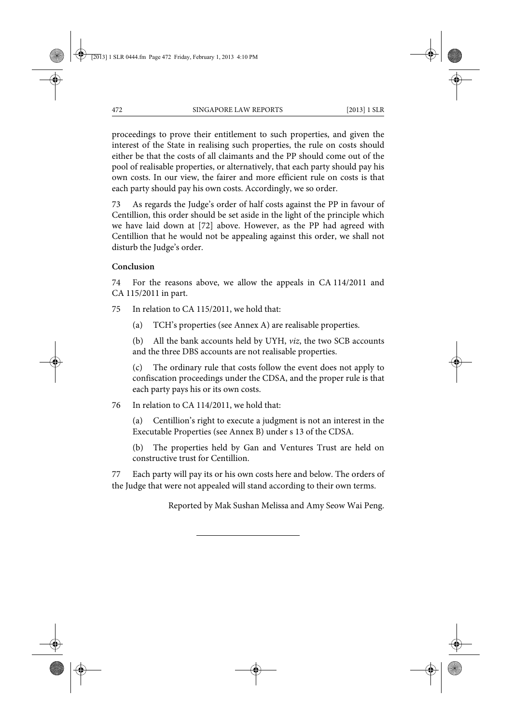proceedings to prove their entitlement to such properties, and given the interest of the State in realising such properties, the rule on costs should either be that the costs of all claimants and the PP should come out of the pool of realisable properties, or alternatively, that each party should pay his own costs. In our view, the fairer and more efficient rule on costs is that each party should pay his own costs. Accordingly, we so order.

73 As regards the Judge's order of half costs against the PP in favour of Centillion, this order should be set aside in the light of the principle which we have laid down at [72] above. However, as the PP had agreed with Centillion that he would not be appealing against this order, we shall not disturb the Judge's order.

### **Conclusion**

74 For the reasons above, we allow the appeals in CA 114/2011 and CA 115/2011 in part.

75 In relation to CA 115/2011, we hold that:

(a) TCH's properties (see Annex A) are realisable properties.

(b) All the bank accounts held by UYH, *viz*, the two SCB accounts and the three DBS accounts are not realisable properties.

(c) The ordinary rule that costs follow the event does not apply to confiscation proceedings under the CDSA, and the proper rule is that each party pays his or its own costs.

76 In relation to CA 114/2011, we hold that:

(a) Centillion's right to execute a judgment is not an interest in the Executable Properties (see Annex B) under s 13 of the CDSA.

(b) The properties held by Gan and Ventures Trust are held on constructive trust for Centillion.

77 Each party will pay its or his own costs here and below. The orders of the Judge that were not appealed will stand according to their own terms.

Reported by Mak Sushan Melissa and Amy Seow Wai Peng.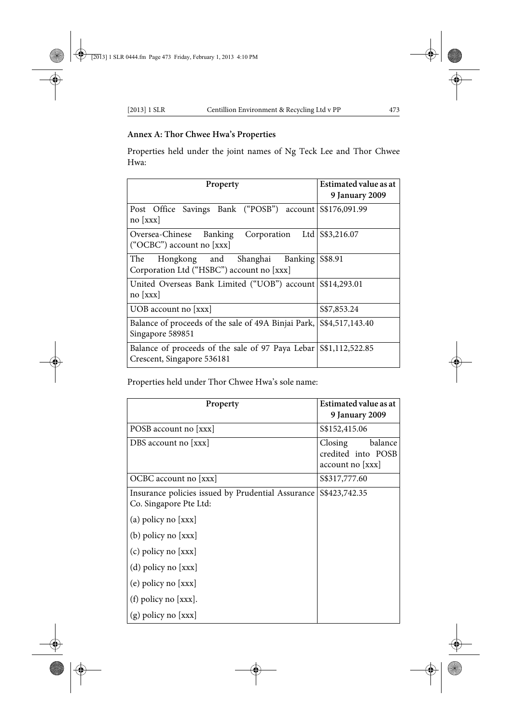# **Annex A: Thor Chwee Hwa's Properties**

Properties held under the joint names of Ng Teck Lee and Thor Chwee Hwa:

| Property                                                                                       | Estimated value as at<br>9 January 2009 |
|------------------------------------------------------------------------------------------------|-----------------------------------------|
| Post Office Savings Bank ("POSB") account S\$176,091.99<br>$no$ [xxx]                          |                                         |
| Oversea-Chinese Banking Corporation<br>("OCBC") account no $[xxx]$                             | Ltd S\$3,216.07                         |
| Hongkong and Shanghai<br>The<br>Banking<br>Corporation Ltd ("HSBC") account no [xxx]           | S\$8.91                                 |
| United Overseas Bank Limited ("UOB") account S\$14,293.01<br>no [xxx]                          |                                         |
| UOB account no $[xxx]$                                                                         | \$\$7,853.24                            |
| Balance of proceeds of the sale of 49A Binjai Park,<br>Singapore 589851                        | S\$4,517,143.40                         |
| Balance of proceeds of the sale of 97 Paya Lebar S\$1,112,522.85<br>Crescent, Singapore 536181 |                                         |

Properties held under Thor Chwee Hwa's sole name:

| Property                                                                    | Estimated value as at<br>9 January 2009                      |
|-----------------------------------------------------------------------------|--------------------------------------------------------------|
| POSB account no [xxx]                                                       | \$\$152,415.06                                               |
| DBS account no [xxx]                                                        | balance<br>Closing<br>credited into POSB<br>account no [xxx] |
| OCBC account no [xxx]                                                       | \$\$317,777.60                                               |
| Insurance policies issued by Prudential Assurance<br>Co. Singapore Pte Ltd: | S\$423,742.35                                                |
| (a) policy no $[xxx]$                                                       |                                                              |
| $(b)$ policy no $[xxx]$                                                     |                                                              |
| $(c)$ policy no [xxx]                                                       |                                                              |
| (d) policy no $[xxx]$                                                       |                                                              |
| $(e)$ policy no $[xxx]$                                                     |                                                              |
| $(f)$ policy no $[xxx]$ .                                                   |                                                              |
| $(g)$ policy no $[xxx]$                                                     |                                                              |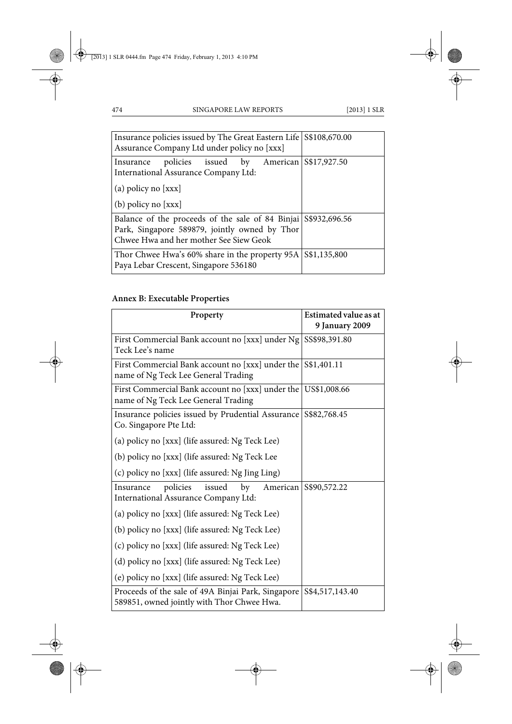| Insurance policies issued by The Great Eastern Life S\$108,670.00<br>Assurance Company Ltd under policy no [xxx]                                          |  |
|-----------------------------------------------------------------------------------------------------------------------------------------------------------|--|
| Insurance policies issued by American S\$17,927.50<br>International Assurance Company Ltd:                                                                |  |
| (a) policy no [xxx]                                                                                                                                       |  |
| $(b)$ policy no $[xxx]$                                                                                                                                   |  |
| Balance of the proceeds of the sale of 84 Binjai S\$932,696.56<br>Park, Singapore 589879, jointly owned by Thor<br>Chwee Hwa and her mother See Siew Geok |  |
| Thor Chwee Hwa's $60\%$ share in the property $95A$ $\frac{\frac{1}{135,800}}{254}$<br>Paya Lebar Crescent, Singapore 536180                              |  |

# **Annex B: Executable Properties**

| Property                                                                                         | <b>Estimated value as at</b> |
|--------------------------------------------------------------------------------------------------|------------------------------|
|                                                                                                  | 9 January 2009               |
| First Commercial Bank account no [xxx] under Ng                                                  | SS\$98,391.80                |
| Teck Lee's name                                                                                  |                              |
| First Commercial Bank account no [xxx] under the S\$1,401.11                                     |                              |
| name of Ng Teck Lee General Trading                                                              |                              |
| First Commercial Bank account no [xxx] under the US\$1,008.66                                    |                              |
| name of Ng Teck Lee General Trading                                                              |                              |
| Insurance policies issued by Prudential Assurance                                                | S\$82,768.45                 |
| Co. Singapore Pte Ltd:                                                                           |                              |
| (a) policy no [xxx] (life assured: Ng Teck Lee)                                                  |                              |
| (b) policy no [xxx] (life assured: Ng Teck Lee                                                   |                              |
| (c) policy no [xxx] (life assured: Ng Jing Ling)                                                 |                              |
| policies<br>issued<br>by<br>American<br>Insurance                                                | S\$90,572.22                 |
| International Assurance Company Ltd:                                                             |                              |
| (a) policy no [xxx] (life assured: Ng Teck Lee)                                                  |                              |
| (b) policy no [xxx] (life assured: Ng Teck Lee)                                                  |                              |
| (c) policy no [xxx] (life assured: Ng Teck Lee)                                                  |                              |
| (d) policy no [xxx] (life assured: Ng Teck Lee)                                                  |                              |
| (e) policy no [xxx] (life assured: Ng Teck Lee)                                                  |                              |
| Proceeds of the sale of 49A Binjai Park, Singapore<br>589851, owned jointly with Thor Chwee Hwa. | S\$4,517,143.40              |